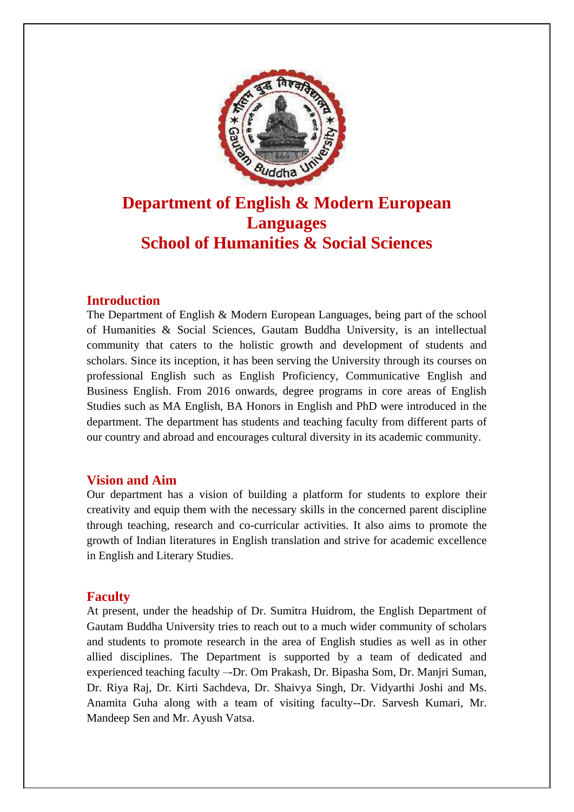

# **Department of English & Modern European Languages School of Humanities & Social Sciences**

# **Introduction**

The Department of English & Modern European Languages, being part of the school of Humanities & Social Sciences, Gautam Buddha University, is an intellectual community that caters to the holistic growth and development of students and scholars. Since its inception, it has been serving the University through its courses on professional English such as English Proficiency, Communicative English and Business English. From 2016 onwards, degree programs in core areas of English Studies such as MA English, BA Honors in English and PhD were introduced in the department. The department has students and teaching faculty from different parts of our country and abroad and encourages cultural diversity in its academic community.

# **Vision and Aim**

Our department has a vision of building a platform for students to explore their creativity and equip them with the necessary skills in the concerned parent discipline through teaching, research and co-curricular activities. It also aims to promote the growth of Indian literatures in English translation and strive for academic excellence in English and Literary Studies.

# **Faculty**

At present, under the headship of Dr. Sumitra Huidrom, the English Department of Gautam Buddha University tries to reach out to a much wider community of scholars and students to promote research in the area of English studies as well as in other allied disciplines. The Department is supported by a team of dedicated and experienced teaching faculty –-Dr. Om Prakash, Dr. Bipasha Som, Dr. Manjri Suman, Dr. Riya Raj, Dr. Kirti Sachdeva, Dr. Shaivya Singh, Dr. Vidyarthi Joshi and Ms. Anamita Guha along with a team of visiting faculty--Dr. Sarvesh Kumari, Mr. Mandeep Sen and Mr. Ayush Vatsa.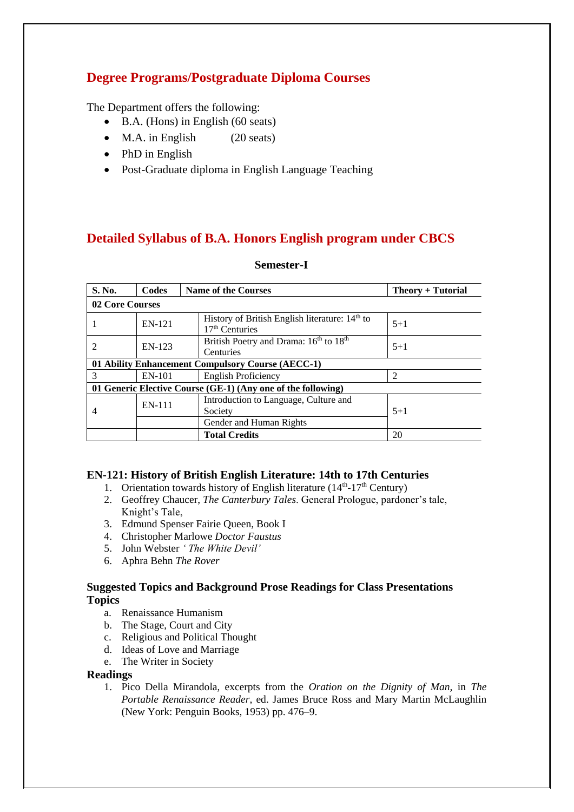# **Degree Programs/Postgraduate Diploma Courses**

The Department offers the following:

- $\bullet$  B.A. (Hons) in English (60 seats)
- M.A. in English (20 seats)
- PhD in English
- Post-Graduate diploma in English Language Teaching

# **Detailed Syllabus of B.A. Honors English program under CBCS**

| <b>S. No.</b>   | Codes  | <b>Name of the Courses</b><br>Theory + Tutorial                             |                |
|-----------------|--------|-----------------------------------------------------------------------------|----------------|
| 02 Core Courses |        |                                                                             |                |
|                 | EN-121 | History of British English literature: $14th$ to<br>$17th$ Centuries        | $5 + 1$        |
| 2               | EN-123 | British Poetry and Drama: 16 <sup>th</sup> to 18 <sup>th</sup><br>Centuries | $5 + 1$        |
|                 |        | 01 Ability Enhancement Compulsory Course (AECC-1)                           |                |
| 3               | EN-101 | <b>English Proficiency</b>                                                  | $\overline{2}$ |
|                 |        | 01 Generic Elective Course (GE-1) (Any one of the following)                |                |
| 4               | EN-111 | Introduction to Language, Culture and<br>Society                            | $5 + 1$        |
|                 |        | Gender and Human Rights                                                     |                |
|                 |        | <b>Total Credits</b>                                                        | 20             |

#### **Semester-I**

#### **EN-121: History of British English Literature: 14th to 17th Centuries**

- 1. Orientation towards history of English literature  $(14<sup>th</sup>-17<sup>th</sup>$  Century)
- 2. Geoffrey Chaucer, *The Canterbury Tales*. General Prologue, pardoner's tale, Knight's Tale,
- 3. Edmund Spenser Fairie Queen, Book I
- 4. Christopher Marlowe *Doctor Faustus*
- 5. John Webster *' The White Devil'*
- 6. Aphra Behn *The Rover*

#### **Suggested Topics and Background Prose Readings for Class Presentations Topics**

- a. Renaissance Humanism
- b. The Stage, Court and City
- c. Religious and Political Thought
- d. Ideas of Love and Marriage
- e. The Writer in Society

#### **Readings**

1. Pico Della Mirandola, excerpts from the *Oration on the Dignity of Man,* in *The Portable Renaissance Reader*, ed. James Bruce Ross and Mary Martin McLaughlin (New York: Penguin Books, 1953) pp. 476–9.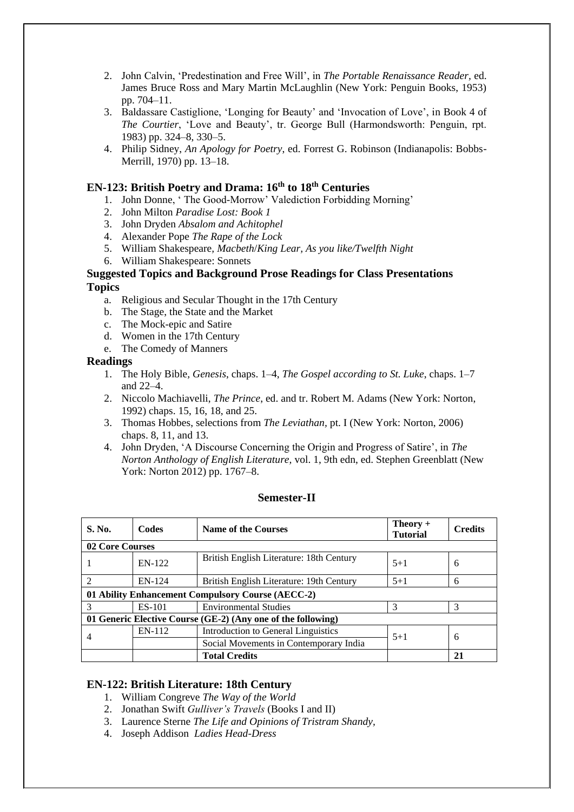- 2. John Calvin, 'Predestination and Free Will', in *The Portable Renaissance Reader,* ed. James Bruce Ross and Mary Martin McLaughlin (New York: Penguin Books, 1953) pp. 704–11.
- 3. Baldassare Castiglione, 'Longing for Beauty' and 'Invocation of Love', in Book 4 of *The Courtier*, 'Love and Beauty', tr. George Bull (Harmondsworth: Penguin, rpt. 1983) pp. 324–8, 330–5.
- 4. Philip Sidney, *An Apology for Poetry*, ed. Forrest G. Robinson (Indianapolis: Bobbs-Merrill, 1970) pp. 13–18.

#### **EN-123: British Poetry and Drama: 16th to 18th Centuries**

- 1. John Donne, ' The Good-Morrow' Valediction Forbidding Morning'
- 2. John Milton *Paradise Lost: Book 1*
- 3. John Dryden *Absalom and Achitophel*
- 4. Alexander Pope *The Rape of the Lock*
- 5. William Shakespeare*, Macbeth*/*King Lear, As you like/Twelfth Night*
- 6. William Shakespeare: Sonnets

#### **Suggested Topics and Background Prose Readings for Class Presentations Topics**

- a. Religious and Secular Thought in the 17th Century
- b. The Stage, the State and the Market
- c. The Mock-epic and Satire
- d. Women in the 17th Century
- e. The Comedy of Manners

#### **Readings**

- 1. The Holy Bible*, Genesis*, chaps. 1–4, *The Gospel according to St. Luke*, chaps. 1–7 and 22–4.
- 2. Niccolo Machiavelli, *The Prince*, ed. and tr. Robert M. Adams (New York: Norton, 1992) chaps. 15, 16, 18, and 25.
- 3. Thomas Hobbes, selections from *The Leviathan,* pt. I (New York: Norton, 2006) chaps. 8, 11, and 13.
- 4. John Dryden, 'A Discourse Concerning the Origin and Progress of Satire', in *The Norton Anthology of English Literature,* vol. 1, 9th edn, ed. Stephen Greenblatt (New York: Norton 2012) pp. 1767–8.

| <b>S. No.</b>   | Codes  | <b>Name of the Courses</b>                                   | $Theory +$<br><b>Credits</b><br><b>Tutorial</b> |    |
|-----------------|--------|--------------------------------------------------------------|-------------------------------------------------|----|
| 02 Core Courses |        |                                                              |                                                 |    |
|                 | EN-122 | British English Literature: 18th Century                     | $5 + 1$                                         | 6  |
| $\mathfrak{D}$  | EN-124 | British English Literature: 19th Century                     | $5 + 1$                                         | 6  |
|                 |        | 01 Ability Enhancement Compulsory Course (AECC-2)            |                                                 |    |
| 3               | ES-101 | <b>Environmental Studies</b><br>3                            |                                                 | 3  |
|                 |        | 01 Generic Elective Course (GE-2) (Any one of the following) |                                                 |    |
|                 | EN-112 | <b>Introduction to General Linguistics</b>                   | $5 + 1$                                         | 6  |
| 4               |        | Social Movements in Contemporary India                       |                                                 |    |
|                 |        | <b>Total Credits</b>                                         |                                                 | 21 |

#### **EN-122: British Literature: 18th Century**

- 1. William Congreve *The Way of the World*
- 2. Jonathan Swift *Gulliver's Travels* (Books I and II)
- 3. Laurence Sterne *The Life and Opinions of Tristram Shandy,*
- 4. Joseph Addison *Ladies Head-Dress*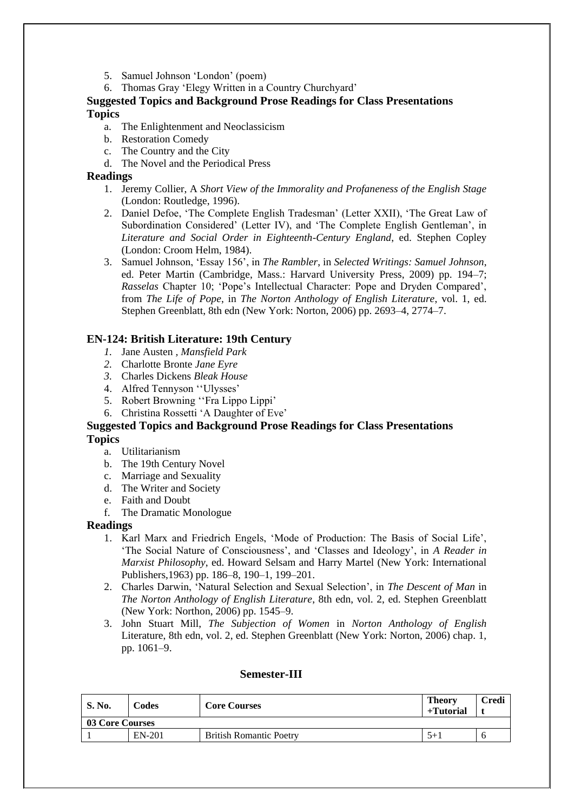- 5. Samuel Johnson 'London' (poem)
- 6. Thomas Gray 'Elegy Written in a Country Churchyard'

#### **Suggested Topics and Background Prose Readings for Class Presentations Topics**

- a. The Enlightenment and Neoclassicism
- b. Restoration Comedy
- c. The Country and the City
- d. The Novel and the Periodical Press

#### **Readings**

- 1. Jeremy Collier, A *Short View of the Immorality and Profaneness of the English Stage*  (London: Routledge, 1996).
- 2. Daniel Defoe, 'The Complete English Tradesman' (Letter XXII), 'The Great Law of Subordination Considered' (Letter IV), and 'The Complete English Gentleman', in *Literature and Social Order in Eighteenth-Century England*, ed. Stephen Copley (London: Croom Helm, 1984).
- 3. Samuel Johnson, 'Essay 156', in *The Rambler*, in *Selected Writings: Samuel Johnson*, ed. Peter Martin (Cambridge, Mass.: Harvard University Press, 2009) pp. 194–7; *Rasselas* Chapter 10; 'Pope's Intellectual Character: Pope and Dryden Compared', from *The Life of Pope*, in *The Norton Anthology of English Literature*, vol. 1, ed. Stephen Greenblatt, 8th edn (New York: Norton, 2006) pp. 2693–4, 2774–7.

#### **EN-124: British Literature: 19th Century**

- *1.* Jane Austen *, Mansfield Park*
- *2.* Charlotte Bronte *Jane Eyre*
- *3.* Charles Dickens *Bleak House*
- 4. Alfred Tennyson ''Ulysses'
- 5. Robert Browning ''Fra Lippo Lippi'
- 6. Christina Rossetti 'A Daughter of Eve'

#### **Suggested Topics and Background Prose Readings for Class Presentations Topics**

- a. Utilitarianism
- b. The 19th Century Novel
- c. Marriage and Sexuality
- d. The Writer and Society
- e. Faith and Doubt
- f. The Dramatic Monologue

#### **Readings**

- 1. Karl Marx and Friedrich Engels, 'Mode of Production: The Basis of Social Life', 'The Social Nature of Consciousness', and 'Classes and Ideology', in *A Reader in Marxist Philosophy*, ed. Howard Selsam and Harry Martel (New York: International Publishers,1963) pp. 186–8, 190–1, 199–201.
- 2. Charles Darwin, 'Natural Selection and Sexual Selection', in *The Descent of Man* in *The Norton Anthology of English Literature*, 8th edn, vol. 2, ed. Stephen Greenblatt (New York: Northon, 2006) pp. 1545–9.
- 3. John Stuart Mill, *The Subjection of Women* in *Norton Anthology of English*  Literature, 8th edn, vol. 2, ed. Stephen Greenblatt (New York: Norton, 2006) chap. 1, pp. 1061–9.

#### **Semester-III**

| S. No.          | Codes  | <b>Core Courses</b>            | <b>Theory</b><br>$+T$ utorial | Credi |  |
|-----------------|--------|--------------------------------|-------------------------------|-------|--|
| 03 Core Courses |        |                                |                               |       |  |
|                 | EN-201 | <b>British Romantic Poetry</b> | $\mathcal{L}^+$               |       |  |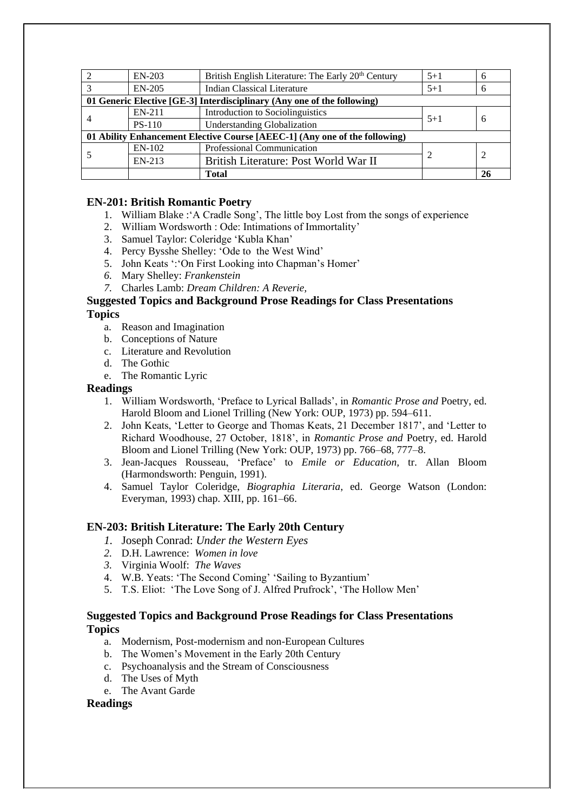|                                                                            | $EN-203$      | British English Literature: The Early 20 <sup>th</sup> Century          | $5 + 1$<br>6 |    |  |
|----------------------------------------------------------------------------|---------------|-------------------------------------------------------------------------|--------------|----|--|
|                                                                            | <b>EN-205</b> | <b>Indian Classical Literature</b>                                      | $5 + 1$      | 6  |  |
|                                                                            |               | 01 Generic Elective [GE-3] Interdisciplinary (Any one of the following) |              |    |  |
|                                                                            | EN-211        | Introduction to Sociolinguistics                                        | $5 + 1$      |    |  |
|                                                                            | <b>PS-110</b> | <b>Understanding Globalization</b>                                      |              | 6  |  |
| 01 Ability Enhancement Elective Course [AEEC-1] (Any one of the following) |               |                                                                         |              |    |  |
|                                                                            | $EN-102$      | Professional Communication                                              |              |    |  |
|                                                                            | EN-213        | British Literature: Post World War II                                   |              |    |  |
|                                                                            |               | <b>Total</b>                                                            |              | 26 |  |

#### **EN-201: British Romantic Poetry**

- 1. William Blake :'A Cradle Song', The little boy Lost from the songs of experience
- 2. William Wordsworth : Ode: Intimations of Immortality'
- 3. Samuel Taylor: Coleridge 'Kubla Khan'
- 4. Percy Bysshe Shelley: 'Ode to the West Wind'
- 5. John Keats ':'On First Looking into Chapman's Homer'
- *6.* Mary Shelley: *Frankenstein*
- *7.* Charles Lamb: *Dream Children: A Reverie,*

# **Suggested Topics and Background Prose Readings for Class Presentations**

#### **Topics**

- a. Reason and Imagination
- b. Conceptions of Nature
- c. Literature and Revolution
- d. The Gothic
- e. The Romantic Lyric

#### **Readings**

- 1. William Wordsworth, 'Preface to Lyrical Ballads', in *Romantic Prose and* Poetry, ed. Harold Bloom and Lionel Trilling (New York: OUP, 1973) pp. 594–611.
- 2. John Keats, 'Letter to George and Thomas Keats, 21 December 1817', and 'Letter to Richard Woodhouse, 27 October, 1818', in *Romantic Prose and* Poetry, ed. Harold Bloom and Lionel Trilling (New York: OUP, 1973) pp. 766–68, 777–8.
- 3. Jean-Jacques Rousseau, 'Preface' to *Emile or Education,* tr. Allan Bloom (Harmondsworth: Penguin, 1991).
- 4. Samuel Taylor Coleridge, *Biographia Literaria*, ed. George Watson (London: Everyman, 1993) chap. XIII, pp. 161–66.

#### **EN-203: British Literature: The Early 20th Century**

- *1.* Joseph Conrad: *Under the Western Eyes*
- *2.* D.H. Lawrence: *Women in love*
- *3.* Virginia Woolf: *The Waves*
- 4. W.B. Yeats: 'The Second Coming' 'Sailing to Byzantium'
- 5. T.S. Eliot: 'The Love Song of J. Alfred Prufrock', 'The Hollow Men'

#### **Suggested Topics and Background Prose Readings for Class Presentations Topics**

- a. Modernism, Post-modernism and non-European Cultures
- b. The Women's Movement in the Early 20th Century
- c. Psychoanalysis and the Stream of Consciousness
- d. The Uses of Myth
- e. The Avant Garde

#### **Readings**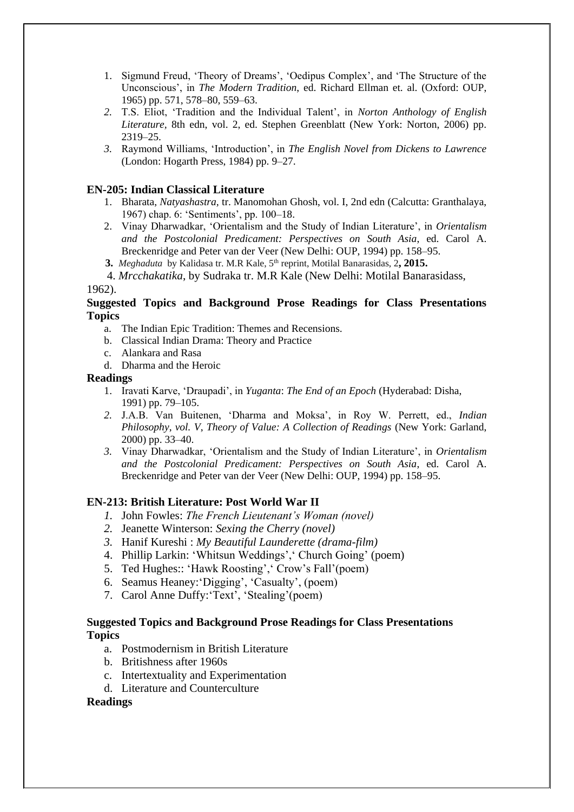- 1. Sigmund Freud, 'Theory of Dreams', 'Oedipus Complex', and 'The Structure of the Unconscious', in *The Modern Tradition*, ed. Richard Ellman et. al. (Oxford: OUP, 1965) pp. 571, 578–80, 559–63.
- *2.* T.S. Eliot, 'Tradition and the Individual Talent', in *Norton Anthology of English Literature,* 8th edn, vol. 2, ed. Stephen Greenblatt (New York: Norton, 2006) pp. 2319–25.
- *3.* Raymond Williams, 'Introduction', in *The English Novel from Dickens to Lawrence*  (London: Hogarth Press, 1984) pp. 9–27.

#### **EN-205: Indian Classical Literature**

- 1. Bharata, *Natyashastra,* tr. Manomohan Ghosh, vol. I, 2nd edn (Calcutta: Granthalaya, 1967) chap. 6: 'Sentiments', pp. 100–18.
- 2. Vinay Dharwadkar, 'Orientalism and the Study of Indian Literature', in *Orientalism and the Postcolonial Predicament: Perspectives on South Asia*, ed. Carol A. Breckenridge and Peter van der Veer (New Delhi: OUP, 1994) pp. 158–95.
- **3.** *Meghaduta* by Kalidasa tr. M.R Kale, 5th reprint, Motilal Banarasidas, 2**, 2015.**

4. *Mrcchakatika*, by Sudraka tr. M.R Kale (New Delhi: Motilal Banarasidass,

#### 1962).

### **Suggested Topics and Background Prose Readings for Class Presentations Topics**

- a. The Indian Epic Tradition: Themes and Recensions.
- b. Classical Indian Drama: Theory and Practice
- c. Alankara and Rasa
- d. Dharma and the Heroic

#### **Readings**

- 1. Iravati Karve, 'Draupadi', in *Yuganta*: *The End of an Epoch* (Hyderabad: Disha, 1991) pp. 79–105.
- *2.* J.A.B. Van Buitenen, 'Dharma and Moksa', in Roy W. Perrett, ed., *Indian Philosophy*, *vol. V*, *Theory of Value: A Collection of Readings* (New York: Garland, 2000) pp. 33–40.
- *3.* Vinay Dharwadkar, 'Orientalism and the Study of Indian Literature', in *Orientalism and the Postcolonial Predicament: Perspectives on South Asia*, ed. Carol A. Breckenridge and Peter van der Veer (New Delhi: OUP, 1994) pp. 158–95.

#### **EN-213: British Literature: Post World War II**

- *1.* John Fowles: *The French Lieutenant's Woman (novel)*
- *2.* Jeanette Winterson: *Sexing the Cherry (novel)*
- *3.* Hanif Kureshi : *My Beautiful Launderette (drama-film)*
- 4. Phillip Larkin: 'Whitsun Weddings',' Church Going' (poem)
- 5. Ted Hughes:: 'Hawk Roosting',' Crow's Fall'(poem)
- 6. Seamus Heaney:'Digging', 'Casualty', (poem)
- 7. Carol Anne Duffy:'Text', 'Stealing'(poem)

#### **Suggested Topics and Background Prose Readings for Class Presentations Topics**

- a. Postmodernism in British Literature
- b. Britishness after 1960s
- c. Intertextuality and Experimentation
- d. Literature and Counterculture

#### **Readings**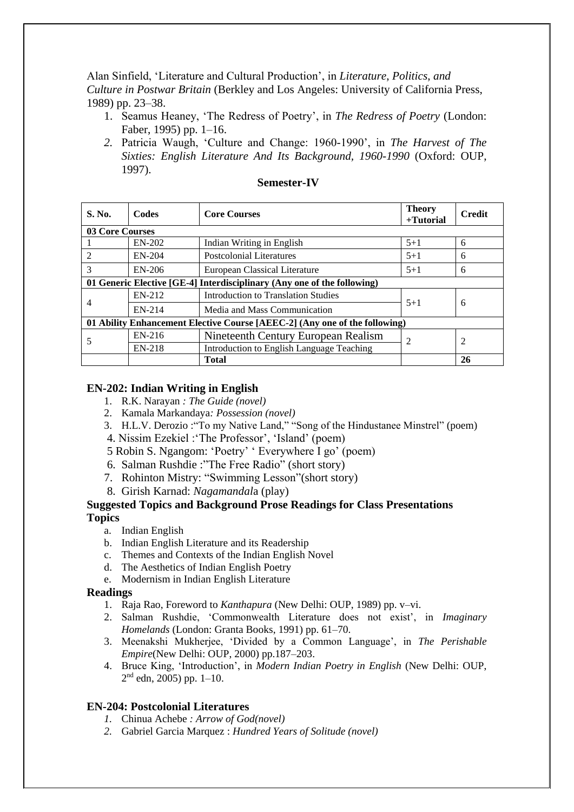Alan Sinfield, 'Literature and Cultural Production', in *Literature*, *Politics*, *and Culture in Postwar Britain* (Berkley and Los Angeles: University of California Press, 1989) pp. 23–38.

- 1. Seamus Heaney, 'The Redress of Poetry', in *The Redress of Poetry* (London: Faber, 1995) pp. 1–16.
- *2.* Patricia Waugh, 'Culture and Change: 1960-1990', in *The Harvest of The Sixties: English Literature And Its Background, 1960-1990* (Oxford: OUP, 1997).

#### **Semester-IV**

| S. No.                                                                     | Codes    | <b>Core Courses</b>                                                     | <b>Theory</b><br>$+Tutorial$ | <b>Credit</b> |
|----------------------------------------------------------------------------|----------|-------------------------------------------------------------------------|------------------------------|---------------|
| 03 Core Courses                                                            |          |                                                                         |                              |               |
|                                                                            | EN-202   | Indian Writing in English                                               | $5 + 1$                      | 6             |
| $\overline{2}$                                                             | $EN-204$ | Postcolonial Literatures                                                | $5 + 1$                      | 6             |
| 3                                                                          | $EN-206$ | European Classical Literature                                           | $5 + 1$                      | 6             |
|                                                                            |          | 01 Generic Elective [GE-4] Interdisciplinary (Any one of the following) |                              |               |
| 4                                                                          | EN-212   | Introduction to Translation Studies                                     | $5 + 1$                      | 6             |
|                                                                            | EN-214   | Media and Mass Communication                                            |                              |               |
| 01 Ability Enhancement Elective Course [AEEC-2] (Any one of the following) |          |                                                                         |                              |               |
| 5                                                                          | EN-216   | Nineteenth Century European Realism                                     | 2                            | 2             |
|                                                                            | EN-218   | Introduction to English Language Teaching                               |                              |               |
|                                                                            |          | <b>Total</b>                                                            |                              | 26            |

#### **EN-202: Indian Writing in English**

- 1. R.K. Narayan *: The Guide (novel)*
- 2. Kamala Markandaya*: Possession (novel)*
- 3. H.L.V. Derozio :"To my Native Land," "Song of the Hindustanee Minstrel" (poem)
- 4. Nissim Ezekiel :'The Professor', 'Island' (poem)
- 5 Robin S. Ngangom: 'Poetry' ' Everywhere I go' (poem)
- 6. Salman Rushdie :"The Free Radio" (short story)
- 7. Rohinton Mistry: "Swimming Lesson"(short story)
- 8. Girish Karnad: *Nagamandal*a (play)

### **Suggested Topics and Background Prose Readings for Class Presentations Topics**

- a. Indian English
- b. Indian English Literature and its Readership
- c. Themes and Contexts of the Indian English Novel
- d. The Aesthetics of Indian English Poetry
- e. Modernism in Indian English Literature

#### **Readings**

- 1. Raja Rao, Foreword to *Kanthapura* (New Delhi: OUP, 1989) pp. v–vi.
- 2. Salman Rushdie, 'Commonwealth Literature does not exist', in *Imaginary Homelands* (London: Granta Books, 1991) pp. 61–70.
- 3. Meenakshi Mukherjee, 'Divided by a Common Language', in *The Perishable Empire*(New Delhi: OUP, 2000) pp.187–203.
- 4. Bruce King, 'Introduction', in *Modern Indian Poetry in English* (New Delhi: OUP,  $2<sup>nd</sup>$  edn, 2005) pp. 1–10.

#### **EN-204: Postcolonial Literatures**

- *1.* Chinua Achebe *: Arrow of God(novel)*
- *2.* Gabriel Garcia Marquez : *Hundred Years of Solitude (novel)*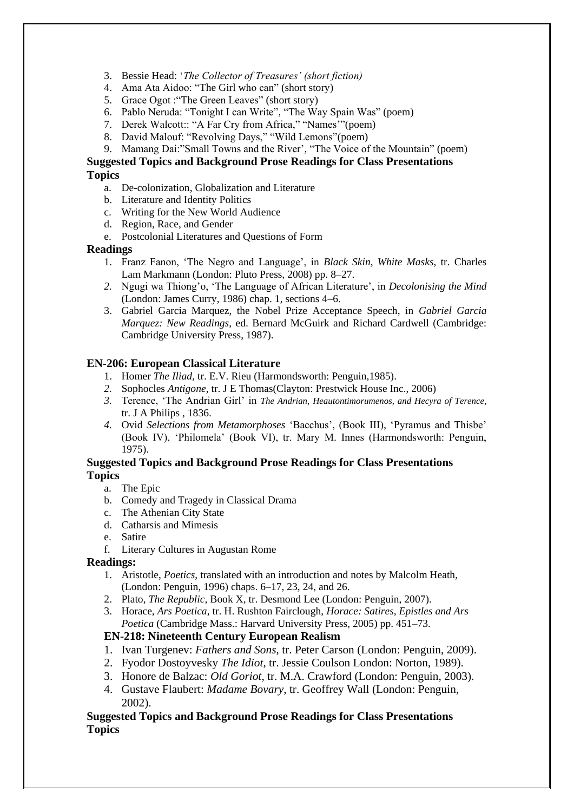- 3. Bessie Head: '*The Collector of Treasures' (short fiction)*
- 4. Ama Ata Aidoo: "The Girl who can" (short story)
- 5. Grace Ogot :"The Green Leaves" (short story)
- 6. Pablo Neruda: "Tonight I can Write", "The Way Spain Was" (poem)
- 7. Derek Walcott:: "A Far Cry from Africa," "Names'"(poem)
- 8. David Malouf: "Revolving Days," "Wild Lemons"(poem)
- 9. Mamang Dai:"Small Towns and the River', "The Voice of the Mountain" (poem)

### **Suggested Topics and Background Prose Readings for Class Presentations Topics**

- a. De-colonization, Globalization and Literature
- b. Literature and Identity Politics
- c. Writing for the New World Audience
- d. Region, Race, and Gender
- e. Postcolonial Literatures and Questions of Form

#### **Readings**

- 1. Franz Fanon, 'The Negro and Language', in *Black Skin, White Masks*, tr. Charles Lam Markmann (London: Pluto Press, 2008) pp. 8–27.
- *2.* Ngugi wa Thiong'o, 'The Language of African Literature', in *Decolonising the Mind*  (London: James Curry, 1986) chap. 1, sections 4–6.
- 3. Gabriel Garcia Marquez, the Nobel Prize Acceptance Speech, in *Gabriel Garcia Marquez: New Readings*, ed. Bernard McGuirk and Richard Cardwell (Cambridge: Cambridge University Press, 1987).

#### **EN-206: European Classical Literature**

- 1. Homer *The Iliad,* tr. E.V. Rieu (Harmondsworth: Penguin,1985).
- *2.* Sophocles *Antigone*, tr. J E Thomas(Clayton: Prestwick House Inc., 2006)
- *3.* Terence, 'The Andrian Girl' in *The Andrian, Heautontimorumenos, and Hecyra of Terence*, tr. J A Philips , 1836.
- *4.* Ovid *Selections from Metamorphoses* 'Bacchus', (Book III), 'Pyramus and Thisbe' (Book IV), 'Philomela' (Book VI), tr. Mary M. Innes (Harmondsworth: Penguin, 1975).

#### **Suggested Topics and Background Prose Readings for Class Presentations Topics**

- a. The Epic
- b. Comedy and Tragedy in Classical Drama
- c. The Athenian City State
- d. Catharsis and Mimesis
- e. Satire
- f. Literary Cultures in Augustan Rome

#### **Readings:**

- 1. Aristotle, *Poetics*, translated with an introduction and notes by Malcolm Heath, (London: Penguin, 1996) chaps. 6–17, 23, 24, and 26.
- 2. Plato, *The Republic,* Book X, tr. Desmond Lee (London: Penguin, 2007).
- 3. Horace, *Ars Poetica*, tr. H. Rushton Fairclough, *Horace: Satires, Epistles and Ars Poetica* (Cambridge Mass.: Harvard University Press, 2005) pp. 451–73.

#### **EN-218: Nineteenth Century European Realism**

- 1. Ivan Turgenev: *Fathers and Sons*, tr. Peter Carson (London: Penguin, 2009).
- 2. Fyodor Dostoyvesky *The Idiot*, tr. Jessie Coulson London: Norton, 1989).
- 3. Honore de Balzac: *Old Goriot*, tr. M.A. Crawford (London: Penguin, 2003).
- 4. Gustave Flaubert: *Madame Bovary*, tr. Geoffrey Wall (London: Penguin, 2002).

#### **Suggested Topics and Background Prose Readings for Class Presentations Topics**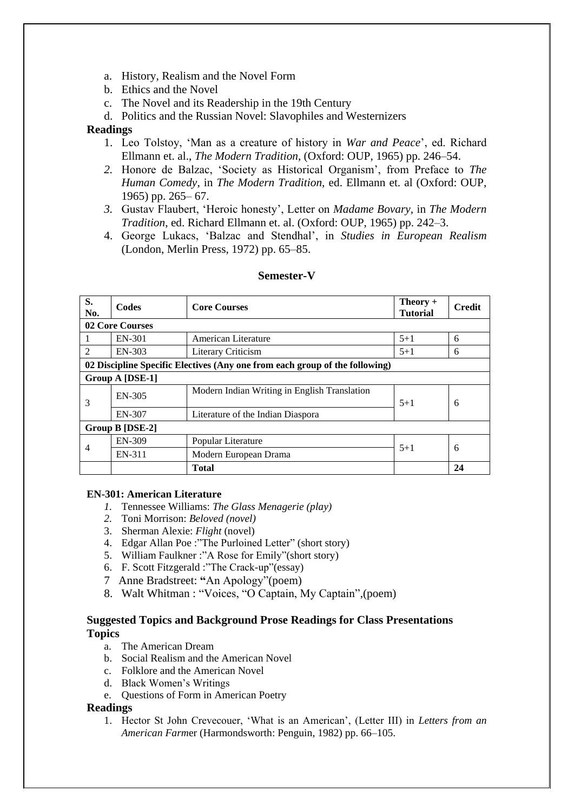- a. History, Realism and the Novel Form
- b. Ethics and the Novel
- c. The Novel and its Readership in the 19th Century
- d. Politics and the Russian Novel: Slavophiles and Westernizers

#### **Readings**

- 1. Leo Tolstoy, 'Man as a creature of history in *War and Peace*', ed. Richard Ellmann et. al., *The Modern Tradition*, (Oxford: OUP, 1965) pp. 246–54.
- *2.* Honore de Balzac, 'Society as Historical Organism', from Preface to *The Human Comedy*, in *The Modern Tradition,* ed. Ellmann et. al (Oxford: OUP, 1965) pp. 265– 67.
- *3.* Gustav Flaubert, 'Heroic honesty', Letter on *Madame Bovary,* in *The Modern Tradition*, ed. Richard Ellmann et. al. (Oxford: OUP, 1965) pp. 242–3.
- 4. George Lukacs, 'Balzac and Stendhal', in *Studies in European Realism*  (London, Merlin Press, 1972) pp. 65–85.

| S.<br>No.       | Codes           | <b>Core Courses</b>                                                         | $Theory +$<br><b>Tutorial</b> | <b>Credit</b> |  |
|-----------------|-----------------|-----------------------------------------------------------------------------|-------------------------------|---------------|--|
|                 | 02 Core Courses |                                                                             |                               |               |  |
|                 | EN-301          | American Literature                                                         | $5 + 1$                       | 6             |  |
| 2               | EN-303          | Literary Criticism                                                          | $5 + 1$                       | 6             |  |
|                 |                 | 02 Discipline Specific Electives (Any one from each group of the following) |                               |               |  |
|                 | Group A [DSE-1] |                                                                             |                               |               |  |
|                 | EN-305          | Modern Indian Writing in English Translation                                | $5 + 1$                       |               |  |
| 3               |                 |                                                                             |                               | 6             |  |
|                 | EN-307          | Literature of the Indian Diaspora                                           |                               |               |  |
| Group B [DSE-2] |                 |                                                                             |                               |               |  |
|                 | EN-309          | Popular Literature                                                          |                               |               |  |
| 4               | EN-311          | Modern European Drama                                                       | $5 + 1$                       | 6             |  |
|                 |                 | <b>Total</b>                                                                |                               | 24            |  |

#### **Semester-V**

#### **EN-301: American Literature**

- *1.* Tennessee Williams: *The Glass Menagerie (play)*
- *2.* Toni Morrison: *Beloved (novel)*
- 3. Sherman Alexie: *Flight* (novel)
- 4. Edgar Allan Poe :"The Purloined Letter" (short story)
- 5. William Faulkner :"A Rose for Emily"(short story)
- 6. F. Scott Fitzgerald :"The Crack-up"(essay)
- 7 Anne Bradstreet: **"**An Apology"(poem)
- 8. Walt Whitman : "Voices, "O Captain, My Captain",(poem)

#### **Suggested Topics and Background Prose Readings for Class Presentations Topics**

- a. The American Dream
- b. Social Realism and the American Novel
- c. Folklore and the American Novel
- d. Black Women's Writings
- e. Questions of Form in American Poetry

#### **Readings**

1. Hector St John Crevecouer, 'What is an American', (Letter III) in *Letters from an American Farm*er (Harmondsworth: Penguin, 1982) pp. 66–105.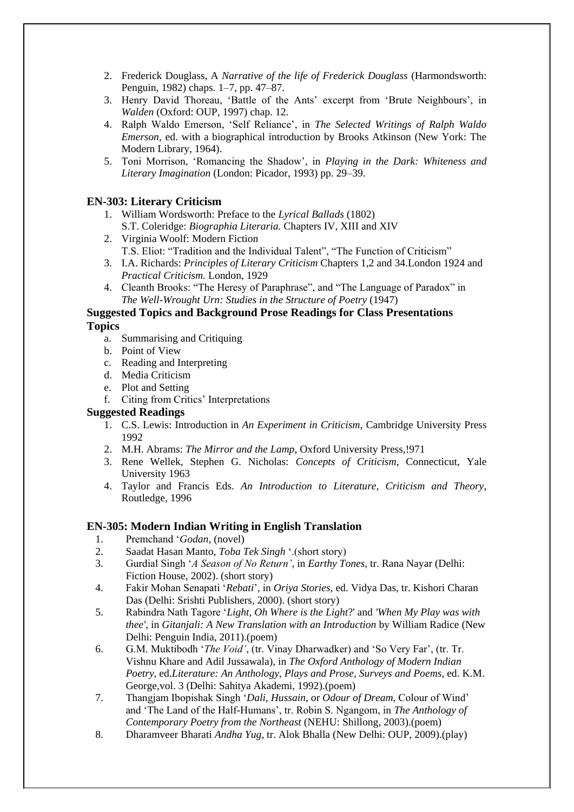- 2. Frederick Douglass, A *Narrative of the life of Frederick Douglass* (Harmondsworth: Penguin, 1982) chaps. 1–7, pp. 47–87.
- 3. Henry David Thoreau, 'Battle of the Ants' excerpt from 'Brute Neighbours', in *Walden* (Oxford: OUP, 1997) chap. 12.
- 4. Ralph Waldo Emerson, 'Self Reliance', in *The Selected Writings of Ralph Waldo Emerson*, ed. with a biographical introduction by Brooks Atkinson (New York: The Modern Library, 1964).
- 5. Toni Morrison, 'Romancing the Shadow', in *Playing in the Dark: Whiteness and Literary Imagination* (London: Picador, 1993) pp. 29–39.

#### **EN-303: Literary Criticism**

- 1. William Wordsworth: Preface to the *Lyrical Ballads* (1802) S.T. Coleridge: *Biographia Literaria.* Chapters IV, XIII and XIV
- 2. Virginia Woolf: Modern Fiction T.S. Eliot: "Tradition and the Individual Talent", "The Function of Criticism"
- 3. I.A. Richards: *Principles of Literary Criticism* Chapters 1,2 and 34.London 1924 and *Practical Criticism.* London, 1929
- 4. Cleanth Brooks: "The Heresy of Paraphrase", and "The Language of Paradox" in *The Well-Wrought Urn: Studies in the Structure of Poetry* (1947)

## **Suggested Topics and Background Prose Readings for Class Presentations Topics**

- a. Summarising and Critiquing
- b. Point of View
- c. Reading and Interpreting
- d. Media Criticism
- e. Plot and Setting
- f. Citing from Critics' Interpretations

#### **Suggested Readings**

- 1. C.S. Lewis: Introduction in *An Experiment in Criticism,* Cambridge University Press 1992
- 2. M.H. Abrams: *The Mirror and the Lamp*, Oxford University Press,!971
- 3. Rene Wellek, Stephen G. Nicholas: *Concepts of Criticism*, Connecticut, Yale University 1963
- 4. Taylor and Francis Eds. *An Introduction to Literature, Criticism and Theory*, Routledge, 1996

#### **EN-305: Modern Indian Writing in English Translation**

- 1. Premchand '*Godan,* (novel)
- 2. Saadat Hasan Manto, *Toba Tek Singh* '.(short story)
- 3. Gurdial Singh '*A Season of No Return'*, in *Earthy Tones*, tr. Rana Nayar (Delhi: Fiction House, 2002). (short story)
- 4. Fakir Mohan Senapati '*Rebati*', in *Oriya Stories*, ed. Vidya Das, tr. Kishori Charan Das (Delhi: Srishti Publishers, 2000). (short story)
- 5. Rabindra Nath Tagore '*Light, Oh Where is the Light*?' and *'When My Play was with thee'*, in *Gitanjali: A New Translation with an Introduction* by William Radice (New Delhi: Penguin India, 2011).(poem)
- 6. G.M. Muktibodh '*The Void'*, (tr. Vinay Dharwadker) and 'So Very Far', (tr. Tr. Vishnu Khare and Adil Jussawala), in *The Oxford Anthology of Modern Indian Poetry*, ed.*Literature: An Anthology, Plays and Prose, Surveys and Poems*, ed. K.M. George,vol. 3 (Delhi: Sahitya Akademi, 1992).(poem)
- 7. Thangjam Ibopishak Singh '*Dali, Hussain*, or *Odour of Dream*, Colour of Wind' and 'The Land of the Half-Humans', tr. Robin S. Ngangom, in *The Anthology of Contemporary Poetry from the Northeast* (NEHU: Shillong, 2003).(poem)
- 8. Dharamveer Bharati *Andha Yug*, tr. Alok Bhalla (New Delhi: OUP, 2009).(play)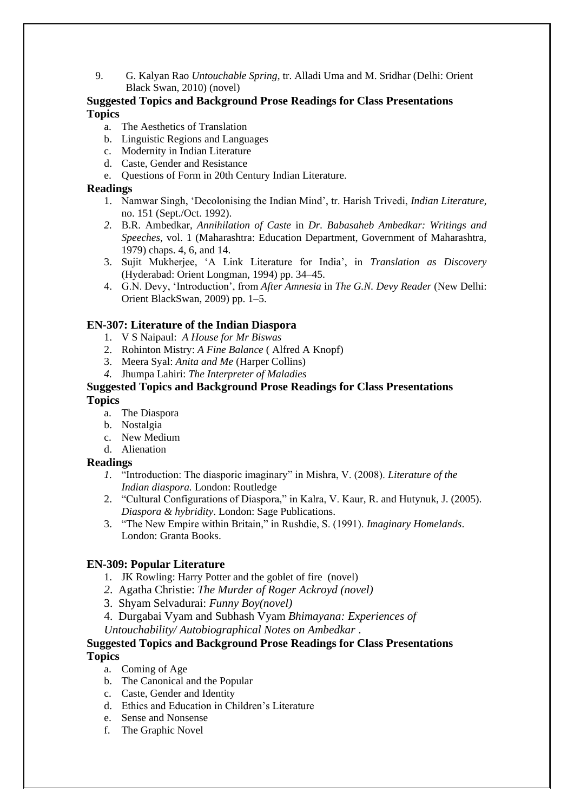9. G. Kalyan Rao *Untouchable Spring*, tr. Alladi Uma and M. Sridhar (Delhi: Orient Black Swan, 2010) (novel)

#### **Suggested Topics and Background Prose Readings for Class Presentations Topics**

- a. The Aesthetics of Translation
- b. Linguistic Regions and Languages
- c. Modernity in Indian Literature
- d. Caste, Gender and Resistance
- e. Questions of Form in 20th Century Indian Literature.

#### **Readings**

- 1. Namwar Singh, 'Decolonising the Indian Mind', tr. Harish Trivedi, *Indian Literature*, no. 151 (Sept./Oct. 1992).
- *2.* B.R. Ambedkar, *Annihilation of Caste* in *Dr. Babasaheb Ambedkar: Writings and Speeches*, vol. 1 (Maharashtra: Education Department, Government of Maharashtra, 1979) chaps. 4, 6, and 14.
- 3. Sujit Mukherjee, 'A Link Literature for India', in *Translation as Discovery*  (Hyderabad: Orient Longman, 1994) pp. 34–45.
- 4. G.N. Devy, 'Introduction', from *After Amnesia* in *The G.N. Devy Reader* (New Delhi: Orient BlackSwan, 2009) pp. 1–5.

#### **EN-307: Literature of the Indian Diaspora**

- 1. V S Naipaul: *A House for Mr Biswas*
- 2. Rohinton Mistry: *A Fine Balance* ( Alfred A Knopf)
- 3. Meera Syal: *Anita and Me* (Harper Collins)
- *4.* Jhumpa Lahiri: *The Interpreter of Maladies*

#### **Suggested Topics and Background Prose Readings for Class Presentations Topics**

- a. The Diaspora
- b. Nostalgia
- c. New Medium
- d. Alienation

#### **Readings**

- *1.* "Introduction: The diasporic imaginary" in Mishra, V. (2008). *Literature of the Indian diaspora.* London: Routledge
- 2. "Cultural Configurations of Diaspora," in Kalra, V. Kaur, R. and Hutynuk, J. (2005). *Diaspora & hybridity*. London: Sage Publications.
- 3. "The New Empire within Britain," in Rushdie, S. (1991). *Imaginary Homelands*. London: Granta Books.

#### **EN-309: Popular Literature**

- 1. JK Rowling: Harry Potter and the goblet of fire (novel)
- *2*.Agatha Christie: *The Murder of Roger Ackroyd (novel)*
- 3. Shyam Selvadurai: *Funny Boy(novel)*
- 4. Durgabai Vyam and Subhash Vyam *Bhimayana: Experiences of*
- *Untouchability/ Autobiographical Notes on Ambedkar* .

# **Suggested Topics and Background Prose Readings for Class Presentations Topics**

- a. Coming of Age
- b. The Canonical and the Popular
- c. Caste, Gender and Identity
- d. Ethics and Education in Children's Literature
- e. Sense and Nonsense
- f. The Graphic Novel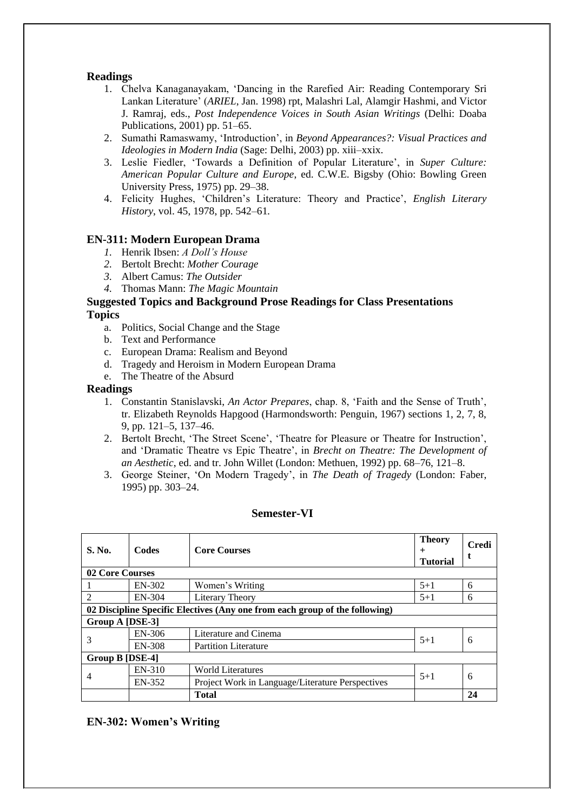# **Readings**

- 1. Chelva Kanaganayakam, 'Dancing in the Rarefied Air: Reading Contemporary Sri Lankan Literature' (*ARIEL*, Jan. 1998) rpt, Malashri Lal, Alamgir Hashmi, and Victor J. Ramraj, eds., *Post Independence Voices in South Asian Writings* (Delhi: Doaba Publications, 2001) pp. 51–65.
- 2. Sumathi Ramaswamy, 'Introduction', in *Beyond Appearances?: Visual Practices and Ideologies in Modern India* (Sage: Delhi, 2003) pp. xiii–xxix.
- 3. Leslie Fiedler, 'Towards a Definition of Popular Literature', in *Super Culture: American Popular Culture and Europe*, ed. C.W.E. Bigsby (Ohio: Bowling Green University Press, 1975) pp. 29–38.
- 4. Felicity Hughes, 'Children's Literature: Theory and Practice', *English Literary History*, vol. 45, 1978, pp. 542–61*.*

#### **EN-311: Modern European Drama**

- *1.* Henrik Ibsen: *A Doll's House*
- *2.* Bertolt Brecht: *Mother Courage*
- *3.* Albert Camus: *The Outsider*
- *4.* Thomas Mann: *The Magic Mountain*

#### **Suggested Topics and Background Prose Readings for Class Presentations Topics**

- a. Politics, Social Change and the Stage
- b. Text and Performance
- c. European Drama: Realism and Beyond
- d. Tragedy and Heroism in Modern European Drama
- e. The Theatre of the Absurd

#### **Readings**

- 1. Constantin Stanislavski, *An Actor Prepares*, chap. 8, 'Faith and the Sense of Truth', tr. Elizabeth Reynolds Hapgood (Harmondsworth: Penguin, 1967) sections 1, 2, 7, 8, 9, pp. 121–5, 137–46.
- 2. Bertolt Brecht, 'The Street Scene', 'Theatre for Pleasure or Theatre for Instruction', and 'Dramatic Theatre vs Epic Theatre', in *Brecht on Theatre: The Development of an Aesthetic*, ed. and tr. John Willet (London: Methuen, 1992) pp. 68–76, 121–8.
- 3. George Steiner, 'On Modern Tragedy', in *The Death of Tragedy* (London: Faber, 1995) pp. 303–24.

| <b>S. No.</b>   | Codes  | <b>Theory</b><br><b>Core Courses</b><br>$\pm$<br><b>Tutorial</b>            |         | <b>Credi</b><br>t |
|-----------------|--------|-----------------------------------------------------------------------------|---------|-------------------|
| 02 Core Courses |        |                                                                             |         |                   |
|                 | EN-302 | Women's Writing                                                             | $5 + 1$ | 6                 |
| $\mathfrak{D}$  | EN-304 | Literary Theory                                                             | $5 + 1$ | 6                 |
|                 |        | 02 Discipline Specific Electives (Any one from each group of the following) |         |                   |
| Group A [DSE-3] |        |                                                                             |         |                   |
|                 | EN-306 | Literature and Cinema                                                       | $5 + 1$ | 6                 |
| 3               | EN-308 | <b>Partition Literature</b>                                                 |         |                   |
| Group B [DSE-4] |        |                                                                             |         |                   |
|                 | EN-310 | <b>World Literatures</b>                                                    |         |                   |
| 4               | EN-352 | Project Work in Language/Literature Perspectives                            | $5 + 1$ | 6                 |
|                 |        | <b>Total</b>                                                                |         | 24                |

#### **Semester-VI**

#### **EN-302: Women's Writing**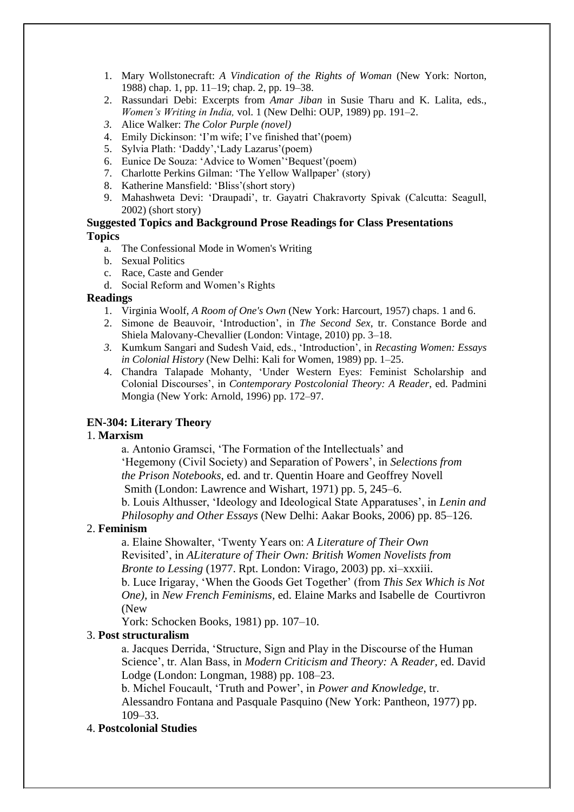- 1. Mary Wollstonecraft: *A Vindication of the Rights of Woman* (New York: Norton, 1988) chap. 1, pp. 11–19; chap. 2, pp. 19–38.
- 2. Rassundari Debi: Excerpts from *Amar Jiban* in Susie Tharu and K. Lalita, eds., *Women's Writing in India,* vol. 1 (New Delhi: OUP, 1989) pp. 191–2.
- *3.* Alice Walker: *The Color Purple (novel)*
- 4. Emily Dickinson: 'I'm wife; I've finished that'(poem)
- 5. Sylvia Plath: 'Daddy','Lady Lazarus'(poem)
- 6. Eunice De Souza: 'Advice to Women''Bequest'(poem)
- 7. Charlotte Perkins Gilman: 'The Yellow Wallpaper' (story)
- 8. Katherine Mansfield: 'Bliss'(short story)
- 9. Mahashweta Devi: 'Draupadi', tr. Gayatri Chakravorty Spivak (Calcutta: Seagull, 2002) (short story)

#### **Suggested Topics and Background Prose Readings for Class Presentations Topics**

- a. The Confessional Mode in Women's Writing
- b. Sexual Politics
- c. Race, Caste and Gender
- d. Social Reform and Women's Rights

#### **Readings**

- 1. Virginia Woolf, *A Room of One's Own* (New York: Harcourt*,* 1957) chaps. 1 and 6.
- 2. Simone de Beauvoir, 'Introduction', in *The Second Sex*, tr. Constance Borde and Shiela Malovany-Chevallier (London: Vintage, 2010) pp. 3–18.
- *3.* Kumkum Sangari and Sudesh Vaid, eds., 'Introduction', in *Recasting Women: Essays in Colonial History* (New Delhi: Kali for Women, 1989) pp. 1–25.
- 4. Chandra Talapade Mohanty, 'Under Western Eyes: Feminist Scholarship and Colonial Discourses', in *Contemporary Postcolonial Theory: A Reader*, ed. Padmini Mongia (New York: Arnold, 1996) pp. 172–97.

# **EN-304: Literary Theory**

#### 1. **Marxism**

a. Antonio Gramsci, 'The Formation of the Intellectuals' and

'Hegemony (Civil Society) and Separation of Powers', in *Selections from the Prison Notebooks*, ed. and tr. Quentin Hoare and Geoffrey Novell Smith (London: Lawrence and Wishart, 1971) pp. 5, 245–6.

b. Louis Althusser, 'Ideology and Ideological State Apparatuses', in *Lenin and Philosophy and Other Essays* (New Delhi: Aakar Books, 2006) pp. 85–126.

#### 2. **Feminism**

 a. Elaine Showalter, 'Twenty Years on: *A Literature of Their Own* Revisited', in *ALiterature of Their Own: British Women Novelists from Bronte to Lessing* (1977. Rpt. London: Virago, 2003) pp. xi–xxxiii.

b. Luce Irigaray, 'When the Goods Get Together' (from *This Sex Which is Not One),* in *New French Feminisms,* ed. Elaine Marks and Isabelle de Courtivron (New

York: Schocken Books, 1981) pp. 107–10.

#### 3. **Post structuralism**

a. Jacques Derrida, 'Structure, Sign and Play in the Discourse of the Human Science', tr. Alan Bass, in *Modern Criticism and Theory:* A *Reader,* ed. David Lodge (London: Longman, 1988) pp. 108–23.

b. Michel Foucault, 'Truth and Power', in *Power and Knowledge*, tr.

Alessandro Fontana and Pasquale Pasquino (New York: Pantheon, 1977) pp. 109–33.

#### 4. **Postcolonial Studies**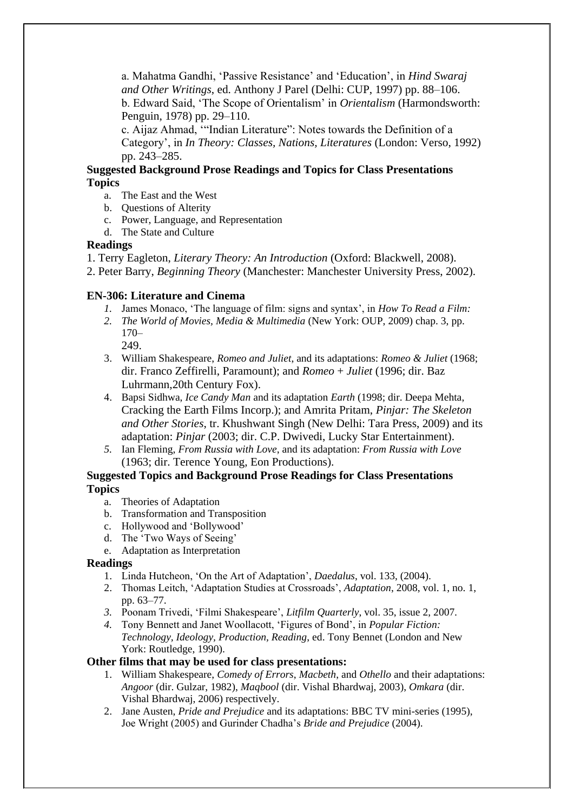a. Mahatma Gandhi, 'Passive Resistance' and 'Education', in *Hind Swaraj and Other Writings*, ed. Anthony J Parel (Delhi: CUP, 1997) pp. 88–106. b. Edward Said, 'The Scope of Orientalism' in *Orientalism* (Harmondsworth: Penguin, 1978) pp. 29–110.

c. Aijaz Ahmad, '"Indian Literature": Notes towards the Definition of a Category', in *In Theory: Classes, Nations, Literatures* (London: Verso, 1992) pp. 243–285.

# **Suggested Background Prose Readings and Topics for Class Presentations Topics**

- a. The East and the West
- b. Questions of Alterity
- c. Power, Language, and Representation
- d. The State and Culture

#### **Readings**

- 1. Terry Eagleton, *Literary Theory: An Introduction* (Oxford: Blackwell, 2008).
- 2. Peter Barry, *Beginning Theory* (Manchester: Manchester University Press, 2002).

#### **EN-306: Literature and Cinema**

- *1.* James Monaco, 'The language of film: signs and syntax', in *How To Read a Film:*
- *2. The World of Movies, Media & Multimedia* (New York: OUP, 2009) chap. 3, pp.  $170-$ 
	- 249.
- 3. William Shakespeare, *Romeo and Juliet*, and its adaptations: *Romeo & Juliet* (1968; dir. Franco Zeffirelli, Paramount); and *Romeo* + *Juliet* (1996; dir. Baz Luhrmann,20th Century Fox).
- 4. Bapsi Sidhwa, *Ice Candy Man* and its adaptation *Earth* (1998; dir. Deepa Mehta, Cracking the Earth Films Incorp.); and Amrita Pritam, *Pinjar: The Skeleton and Other Stories*, tr. Khushwant Singh (New Delhi: Tara Press, 2009) and its adaptation: *Pinjar* (2003; dir. C.P. Dwivedi, Lucky Star Entertainment).
- *5.* Ian Fleming, *From Russia with Love*, and its adaptation: *From Russia with Love* (1963; dir. Terence Young, Eon Productions).

#### **Suggested Topics and Background Prose Readings for Class Presentations Topics**

- a. Theories of Adaptation
- b. Transformation and Transposition
- c. Hollywood and 'Bollywood'
- d. The 'Two Ways of Seeing'
- e. Adaptation as Interpretation

#### **Readings**

- 1. Linda Hutcheon, 'On the Art of Adaptation', *Daedalus*, vol. 133, (2004).
- 2. Thomas Leitch, 'Adaptation Studies at Crossroads', *Adaptation*, 2008, vol. 1, no. 1, pp. 63–77.
- *3.* Poonam Trivedi, 'Filmi Shakespeare', *Litfilm Quarterly*, vol. 35, issue 2, 2007*.*
- *4.* Tony Bennett and Janet Woollacott, 'Figures of Bond', in *Popular Fiction: Technology, Ideology, Production, Reading*, ed. Tony Bennet (London and New York: Routledge, 1990).

#### **Other films that may be used for class presentations:**

- 1. William Shakespeare, *Comedy of Errors*, *Macbeth*, and *Othello* and their adaptations: *Angoor* (dir. Gulzar, 1982), *Maqbool* (dir. Vishal Bhardwaj, 2003), *Omkara* (dir. Vishal Bhardwaj, 2006) respectively.
- 2. Jane Austen, *Pride and Prejudice* and its adaptations: BBC TV mini-series (1995), Joe Wright (2005) and Gurinder Chadha's *Bride and Prejudice* (2004).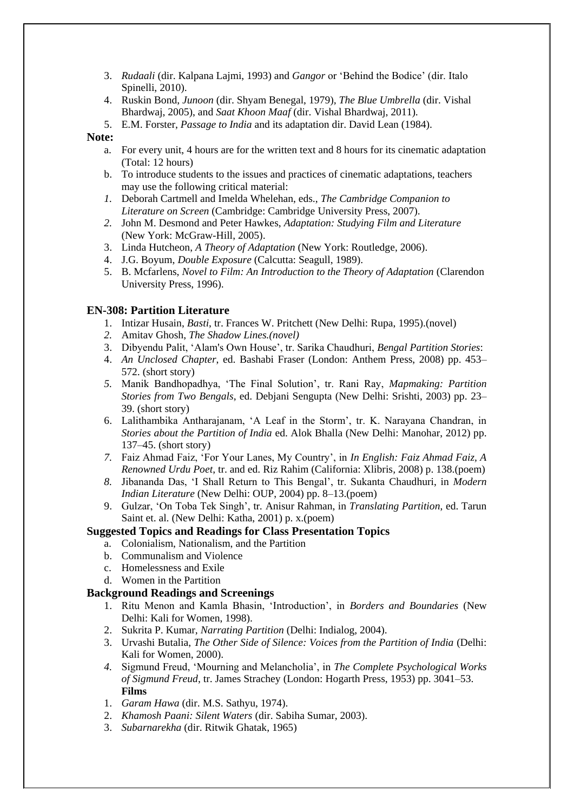- 3. *Rudaali* (dir. Kalpana Lajmi, 1993) and *Gangor* or 'Behind the Bodice' (dir. Italo Spinelli, 2010).
- 4. Ruskin Bond, *Junoon* (dir. Shyam Benegal, 1979)*, The Blue Umbrella* (dir. Vishal Bhardwaj, 2005), and *Saat Khoon Maaf* (dir. Vishal Bhardwaj, 2011)*.*
- 5. E.M. Forster, *Passage to India* and its adaptation dir. David Lean (1984).

#### **Note:**

- a. For every unit, 4 hours are for the written text and 8 hours for its cinematic adaptation (Total: 12 hours)
- b. To introduce students to the issues and practices of cinematic adaptations, teachers may use the following critical material:
- *1.* Deborah Cartmell and Imelda Whelehan, eds., *The Cambridge Companion to Literature on Screen* (Cambridge: Cambridge University Press, 2007).
- *2.* John M. Desmond and Peter Hawkes, *Adaptation: Studying Film and Literature*  (New York: McGraw-Hill, 2005).
- 3. Linda Hutcheon, *A Theory of Adaptation* (New York: Routledge, 2006).
- 4. J.G. Boyum, *Double Exposure* (Calcutta: Seagull, 1989).
- 5. B. Mcfarlens, *Novel to Film: An Introduction to the Theory of Adaptation* (Clarendon University Press, 1996).

#### **EN-308: Partition Literature**

- 1. Intizar Husain, *Basti*, tr. Frances W. Pritchett (New Delhi: Rupa, 1995).(novel)
- *2.* Amitav Ghosh, *The Shadow Lines.(novel)*
- 3. Dibyendu Palit, 'Alam's Own House', tr. Sarika Chaudhuri, *Bengal Partition Stories*:
- 4. *An Unclosed Chapter*, ed. Bashabi Fraser (London: Anthem Press, 2008) pp. 453– 572. (short story)
- *5.* Manik Bandhopadhya, 'The Final Solution', tr. Rani Ray, *Mapmaking: Partition Stories from Two Bengals*, ed. Debjani Sengupta (New Delhi: Srishti, 2003) pp. 23– 39. (short story)
- 6. Lalithambika Antharajanam, 'A Leaf in the Storm', tr. K. Narayana Chandran, in *Stories about the Partition of India* ed. Alok Bhalla (New Delhi: Manohar, 2012) pp. 137–45. (short story)
- *7.* Faiz Ahmad Faiz, 'For Your Lanes, My Country', in *In English: Faiz Ahmad Faiz, A Renowned Urdu Poet*, tr. and ed. Riz Rahim (California: Xlibris*,* 2008) p. 138.(poem)
- *8.* Jibananda Das, 'I Shall Return to This Bengal', tr. Sukanta Chaudhuri, in *Modern Indian Literature* (New Delhi: OUP, 2004) pp. 8–13.(poem)
- 9. Gulzar, 'On Toba Tek Singh', tr*.* Anisur Rahman, in *Translating Partition*, ed. Tarun Saint et. al. (New Delhi: Katha, 2001) p. x.(poem)

#### **Suggested Topics and Readings for Class Presentation Topics**

- a. Colonialism, Nationalism, and the Partition
- b. Communalism and Violence
- c. Homelessness and Exile
- d. Women in the Partition

#### **Background Readings and Screenings**

- 1. Ritu Menon and Kamla Bhasin, 'Introduction', in *Borders and Boundaries* (New Delhi: Kali for Women, 1998).
- 2. Sukrita P. Kumar, *Narrating Partition* (Delhi: Indialog, 2004).
- 3. Urvashi Butalia, *The Other Side of Silence: Voices from the Partition of India* (Delhi: Kali for Women, 2000).
- *4.* Sigmund Freud, 'Mourning and Melancholia', in *The Complete Psychological Works of Sigmund Freud*, tr. James Strachey (London: Hogarth Press, 1953) pp. 3041–53. **Films**
- 1. *Garam Hawa* (dir. M.S. Sathyu, 1974).
- 2. *Khamosh Paani: Silent Waters* (dir. Sabiha Sumar, 2003).
- 3. *Subarnarekha* (dir. Ritwik Ghatak, 1965)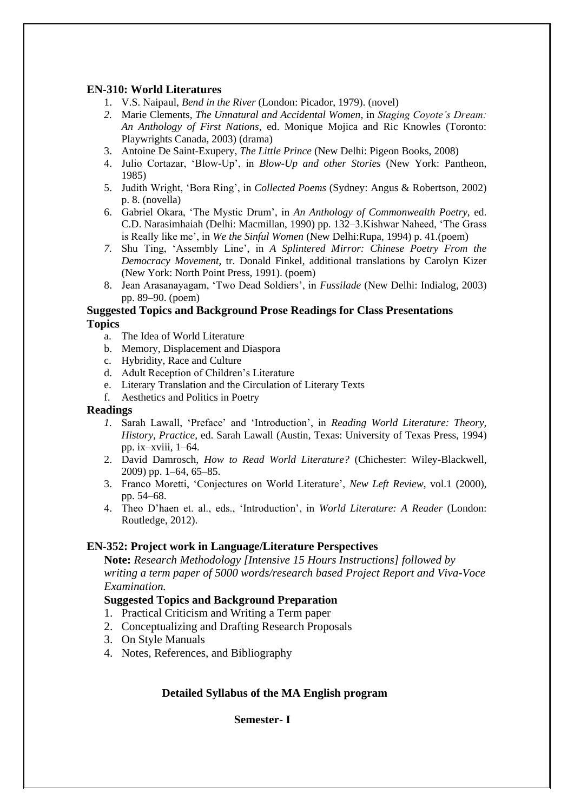#### **EN-310: World Literatures**

- 1. V.S. Naipaul, *Bend in the River* (London: Picador, 1979). (novel)
- *2.* Marie Clements, *The Unnatural and Accidental Women*, in *Staging Coyote's Dream: An Anthology of First Nations*, ed. Monique Mojica and Ric Knowles (Toronto: Playwrights Canada, 2003) (drama)
- 3. Antoine De Saint-Exupery, *The Little Prince* (New Delhi: Pigeon Books, 2008)
- 4. Julio Cortazar, 'Blow-Up', in *Blow-Up and other Stories* (New York: Pantheon, 1985)
- 5. Judith Wright, 'Bora Ring', in *Collected Poems* (Sydney: Angus & Robertson, 2002) p. 8. (novella)
- 6. Gabriel Okara, 'The Mystic Drum', in *An Anthology of Commonwealth Poetry,* ed. C.D. Narasimhaiah (Delhi: Macmillan, 1990) pp. 132–3.Kishwar Naheed, 'The Grass is Really like me', in *We the Sinful Women* (New Delhi:Rupa, 1994) p. 41.(poem)
- *7.* Shu Ting, 'Assembly Line', in *A Splintered Mirror: Chinese Poetry From the Democracy Movement*, tr. Donald Finkel, additional translations by Carolyn Kizer (New York: North Point Press, 1991). (poem)
- 8. Jean Arasanayagam, 'Two Dead Soldiers', in *Fussilade* (New Delhi: Indialog, 2003) pp. 89–90. (poem)

#### **Suggested Topics and Background Prose Readings for Class Presentations Topics**

- a. The Idea of World Literature
- b. Memory, Displacement and Diaspora
- c. Hybridity, Race and Culture
- d. Adult Reception of Children's Literature
- e. Literary Translation and the Circulation of Literary Texts
- f. Aesthetics and Politics in Poetry

#### **Readings**

- *1.* Sarah Lawall, 'Preface' and 'Introduction', in *Reading World Literature: Theory, History, Practice*, ed. Sarah Lawall (Austin, Texas: University of Texas Press, 1994) pp. ix–xviii, 1–64.
- 2. David Damrosch, *How to Read World Literature?* (Chichester: Wiley-Blackwell, 2009) pp. 1–64, 65–85.
- 3. Franco Moretti, 'Conjectures on World Literature', *New Left Review*, vol.1 (2000), pp. 54–68.
- 4. Theo D'haen et. al., eds., 'Introduction', in *World Literature: A Reader* (London: Routledge, 2012).

#### **EN-352: Project work in Language/Literature Perspectives**

**Note:** *Research Methodology [Intensive 15 Hours Instructions] followed by writing a term paper of 5000 words/research based Project Report and Viva-Voce Examination.*

#### **Suggested Topics and Background Preparation**

- 1. Practical Criticism and Writing a Term paper
- 2. Conceptualizing and Drafting Research Proposals
- 3. On Style Manuals
- 4. Notes, References, and Bibliography

#### **Detailed Syllabus of the MA English program**

#### **Semester- I**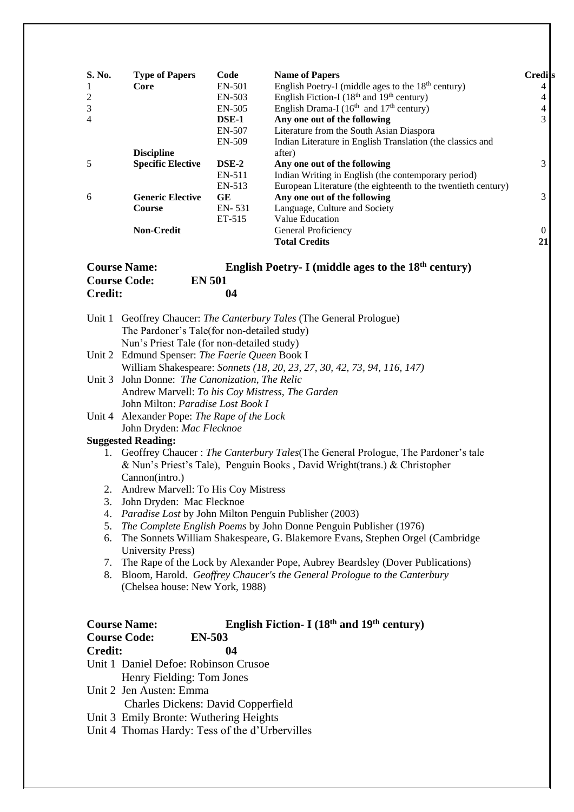| S. No.         | <b>Type of Papers</b>    | Code         | <b>Name of Papers</b>                                           | <b>Credits</b> |
|----------------|--------------------------|--------------|-----------------------------------------------------------------|----------------|
| -1             | Core                     | EN-501       | English Poetry-I (middle ages to the $18th$ century)            | 4              |
| 2              |                          | EN-503       | English Fiction-I ( $18th$ and $19th$ century)                  | 4              |
| 3              |                          | EN-505       | English Drama-I (16 <sup>th</sup> and 17 <sup>th</sup> century) | 4              |
| $\overline{4}$ |                          | <b>DSE-1</b> | Any one out of the following                                    | 3              |
|                |                          | EN-507       | Literature from the South Asian Diaspora                        |                |
|                |                          | EN-509       | Indian Literature in English Translation (the classics and      |                |
|                | <b>Discipline</b>        |              | after)                                                          |                |
| 5              | <b>Specific Elective</b> | DSE-2        | Any one out of the following                                    | 3              |
|                |                          | EN-511       | Indian Writing in English (the contemporary period)             |                |
|                |                          | EN-513       | European Literature (the eighteenth to the twentieth century)   |                |
| 6              | <b>Generic Elective</b>  | <b>GE</b>    | Any one out of the following                                    | 3              |
|                | <b>Course</b>            | $EN-531$     | Language, Culture and Society                                   |                |
|                |                          | ET-515       | Value Education                                                 |                |
|                | <b>Non-Credit</b>        |              | General Proficiency                                             | $\Omega$       |
|                |                          |              | <b>Total Credits</b>                                            | 21             |

| <b>Course Name:</b> | English Poetry- I (middle ages to the $18th$ century) |
|---------------------|-------------------------------------------------------|
| <b>Course Code:</b> | <b>EN 501</b>                                         |
| <b>Credit:</b>      | 04                                                    |

| 04<br>Unit 1. Daniel Defect Dehineen Curses                                                        |
|----------------------------------------------------------------------------------------------------|
| <b>Course Code:</b><br><b>EN-503</b>                                                               |
| English Fiction- I $(18th$ and $19th$ century)<br><b>Course Name:</b>                              |
| (Chelsea house: New York, 1988)                                                                    |
|                                                                                                    |
| Bloom, Harold. Geoffrey Chaucer's the General Prologue to the Canterbury                           |
| 7. The Rape of the Lock by Alexander Pope, Aubrey Beardsley (Dover Publications)                   |
| The Sonnets William Shakespeare, G. Blakemore Evans, Stephen Orgel (Cambridge<br>University Press) |
| The Complete English Poems by John Donne Penguin Publisher (1976)                                  |
| <i>Paradise Lost</i> by John Milton Penguin Publisher (2003)                                       |
| John Dryden: Mac Flecknoe                                                                          |
| Andrew Marvell: To His Coy Mistress                                                                |
| Cannon(intro.)                                                                                     |
| & Nun's Priest's Tale), Penguin Books, David Wright(trans.) & Christopher                          |
| 1. Geoffrey Chaucer: The Canterbury Tales (The General Prologue, The Pardoner's tale               |
| <b>Suggested Reading:</b>                                                                          |
| John Dryden: Mac Flecknoe                                                                          |
| Unit 4 Alexander Pope: The Rape of the Lock                                                        |
| John Milton: Paradise Lost Book I                                                                  |
| Andrew Marvell: To his Coy Mistress, The Garden                                                    |
| Unit 3 John Donne: The Canonization, The Relic                                                     |
| William Shakespeare: Sonnets (18, 20, 23, 27, 30, 42, 73, 94, 116, 147)                            |
| Unit 2 Edmund Spenser: The Faerie Queen Book I                                                     |
| Nun's Priest Tale (for non-detailed study)                                                         |
| The Pardoner's Tale(for non-detailed study)                                                        |
| Unit 1 Geoffrey Chaucer: The Canterbury Tales (The General Prologue)                               |
| <b>Credit:</b>                                                                                     |

- Unit 1 Daniel Defoe: Robinson Crusoe Henry Fielding: Tom Jones
- Unit 2 Jen Austen: Emma

Charles Dickens: David Copperfield

Unit 3 Emily Bronte: Wuthering Heights

Unit 4 Thomas Hardy: Tess of the d'Urbervilles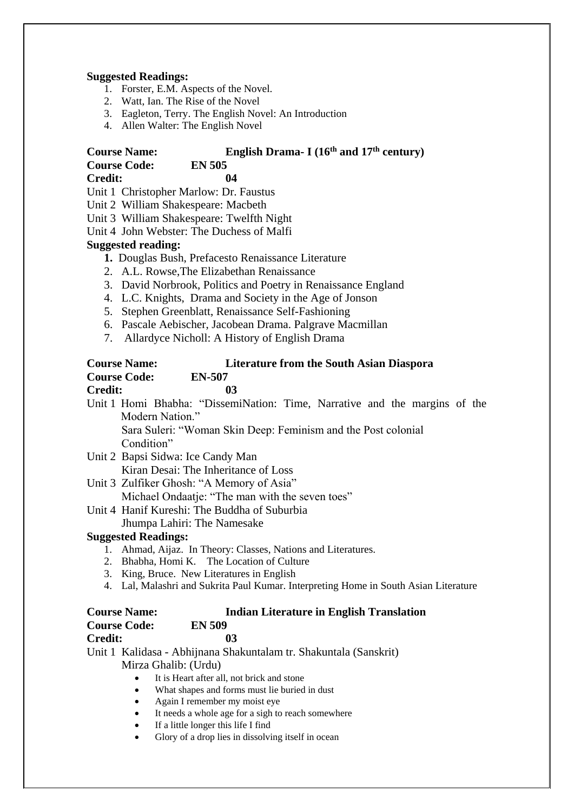#### **Suggested Readings:**

- 1. Forster, E.M. Aspects of the Novel.
- 2. Watt, Ian. The Rise of the Novel
- 3. Eagleton, Terry. The English Novel: An Introduction
- 4. Allen Walter: The English Novel

### **Course Name: English Drama- I (16th and 17th century)**

# **Course Code: EN 505**

#### **Credit: 04**

Unit 1 Christopher Marlow: Dr. Faustus

Unit 2 William Shakespeare: Macbeth

- Unit 3 William Shakespeare: Twelfth Night
- Unit 4 John Webster: The Duchess of Malfi

#### **Suggested reading:**

- **1.** Douglas Bush, Prefacesto Renaissance Literature
- 2. A.L. Rowse,The Elizabethan Renaissance
- 3. David Norbrook, Politics and Poetry in Renaissance England
- 4. L.C. Knights, Drama and Society in the Age of Jonson
- 5. Stephen Greenblatt, Renaissance Self-Fashioning
- 6. Pascale Aebischer, Jacobean Drama. Palgrave Macmillan
- 7. Allardyce Nicholl: A History of English Drama

# **Course Name: Literature from the South Asian Diaspora**

**Course Code: EN-507 Credit: 03**

Unit 1 Homi Bhabha: "DissemiNation: Time, Narrative and the margins of the Modern Nation.'

Sara Suleri: "Woman Skin Deep: Feminism and the Post colonial Condition"

Unit 2 Bapsi Sidwa: Ice Candy Man

Kiran Desai: The Inheritance of Loss

- Unit 3 Zulfiker Ghosh: "A Memory of Asia" Michael Ondaatje: "The man with the seven toes"
- Unit 4 Hanif Kureshi: The Buddha of Suburbia

# Jhumpa Lahiri: The Namesake

#### **Suggested Readings:**

- 1. Ahmad, Aijaz. In Theory: Classes, Nations and Literatures.
- 2. Bhabha, Homi K. The Location of Culture
- 3. King, Bruce. New Literatures in English
- 4. Lal, Malashri and Sukrita Paul Kumar. Interpreting Home in South Asian Literature

#### **Course Name: Indian Literature in English Translation**

# **Course Code: EN 509**

### **Credit: 03**

Unit 1 Kalidasa - Abhijnana Shakuntalam tr. Shakuntala (Sanskrit) Mirza Ghalib: (Urdu)

- It is Heart after all, not brick and stone
- What shapes and forms must lie buried in dust
- Again I remember my moist eye
- It needs a whole age for a sigh to reach somewhere
- If a little longer this life I find
- Glory of a drop lies in dissolving itself in ocean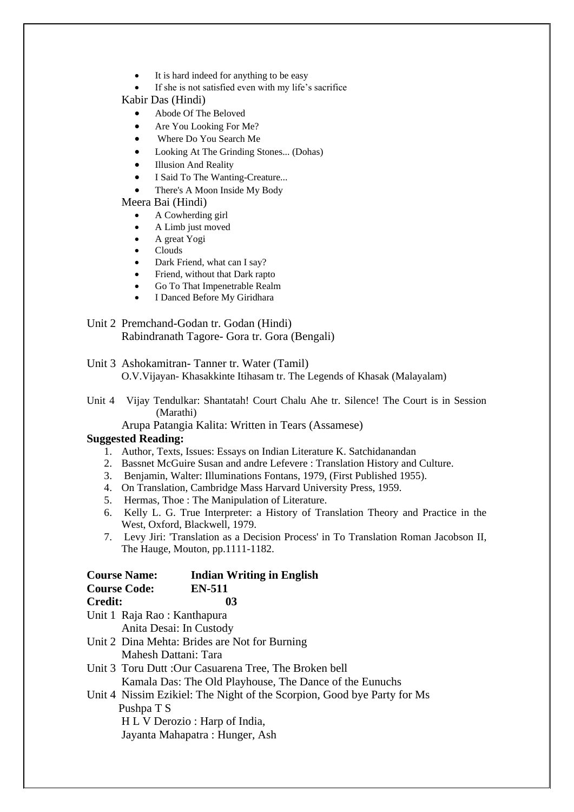- It is hard indeed for anything to be easy
- If she is not satisfied even with my life's sacrifice

#### Kabir Das (Hindi)

- [Abode Of The Beloved](http://www.poemhunter.com/poem/abode-of-the-beloved/)
- [Are You Looking For Me?](http://www.poemhunter.com/poem/are-you-looking-for-me/)
- [Where Do You Search Me](http://www.poemhunter.com/poem/where-do-you-search-me/)
- [Looking At The Grinding Stones...](http://www.poemhunter.com/poem/looking-at-the-grinding-stones-dohas-couplets-i/) (Dohas)
- [Illusion And Reality](http://www.poemhunter.com/poem/illusion-and-reality/)
- [I Said To The Wanting-Creature...](http://www.poemhunter.com/poem/i-said-to-the-wanting-creature-inside-me/)
- [There's A Moon Inside My Body](http://www.poemhunter.com/poem/there-s-a-moon-inside-my-body/)

#### Meera Bai (Hindi)

- A Cowherding girl
- A Limb just moved
- A great Yogi
- Clouds
- Dark Friend, what can I say?
- Friend, without that Dark rapto
- Go To That Impenetrable Realm
- I Danced Before My Giridhara
- Unit 2 Premchand-Godan tr. Godan (Hindi) Rabindranath Tagore- Gora tr. Gora (Bengali)

Unit 3 Ashokamitran- Tanner tr. Water (Tamil) O.V.Vijayan- Khasakkinte Itihasam tr. The Legends of Khasak (Malayalam)

Unit 4 Vijay Tendulkar: Shantatah! Court Chalu Ahe tr. Silence! The Court is in Session (Marathi)

Arupa Patangia Kalita: Written in Tears (Assamese)

#### **Suggested Reading:**

- 1. Author, Texts, Issues: Essays on Indian Literature K. Satchidanandan
- 2. Bassnet McGuire Susan and andre Lefevere : Translation History and Culture.
- 3. Benjamin, Walter: Illuminations Fontans, 1979, (First Published 1955).
- 4. On Translation, Cambridge Mass Harvard University Press, 1959.
- 5. Hermas, Thoe : The Manipulation of Literature.
- 6. Kelly L. G. True Interpreter: a History of Translation Theory and Practice in the West, Oxford, Blackwell, 1979.
- 7. Levy Jiri: 'Translation as a Decision Process' in To Translation Roman Jacobson II, The Hauge, Mouton, pp.1111-1182.

| <b>Course Name:</b>         | <b>Indian Writing in English</b>                                        |
|-----------------------------|-------------------------------------------------------------------------|
| <b>Course Code:</b>         | <b>EN-511</b>                                                           |
| <b>Credit:</b>              | 03                                                                      |
| Unit 1 Raja Rao: Kanthapura |                                                                         |
|                             | Anita Desai: In Custody                                                 |
|                             | Unit 2 Dina Mehta: Brides are Not for Burning                           |
| Mahesh Dattani: Tara        |                                                                         |
|                             | Unit 3 Toru Dutt : Our Casuarena Tree, The Broken bell                  |
|                             | Kamala Das: The Old Playhouse, The Dance of the Eunuchs                 |
|                             | Unit 4 Nissim Ezikiel: The Night of the Scorpion, Good bye Party for Ms |
| Pushpa T S                  |                                                                         |
|                             | H L V Derozio : Harp of India,                                          |
|                             | Jayanta Mahapatra : Hunger, Ash                                         |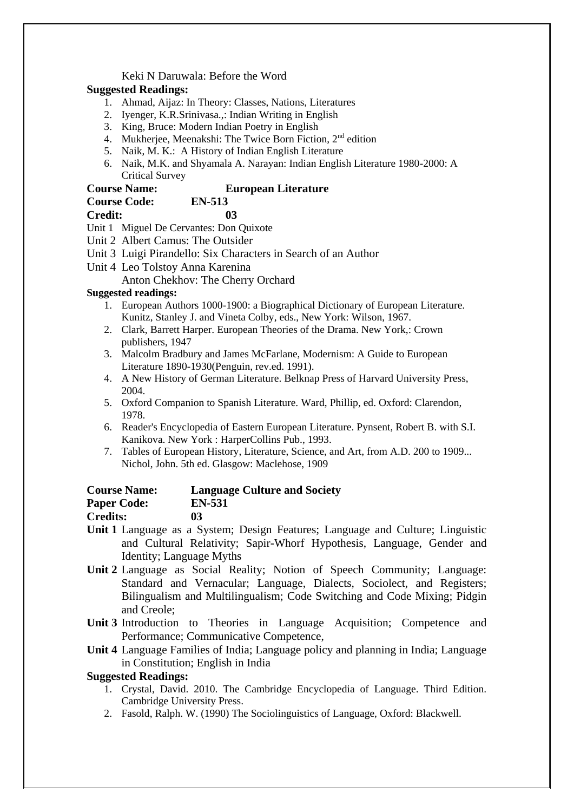#### Keki N Daruwala: Before the Word

#### **Suggested Readings:**

- 1. Ahmad, Aijaz: In Theory: Classes, Nations, Literatures
- 2. Iyenger, K.R.Srinivasa.,: Indian Writing in English
- 3. King, Bruce: Modern Indian Poetry in English
- 4. Mukherjee, Meenakshi: The Twice Born Fiction, 2<sup>nd</sup> edition
- 5. Naik, M. K.: A History of Indian English Literature
- 6. Naik, M.K. and Shyamala A. Narayan: Indian English Literature 1980-2000: A Critical Survey

#### **Course Name: European Literature**

#### **Course Code: EN-513**

**Credit: 03**

Unit 1 Miguel De Cervantes: Don Quixote

- Unit 2 Albert Camus: The Outsider
- Unit 3 Luigi Pirandello: Six Characters in Search of an Author
- Unit 4 Leo Tolstoy Anna Karenina

Anton Chekhov: The Cherry Orchard

#### **Suggested readings:**

- 1. European Authors 1000-1900: a Biographical Dictionary of European Literature. Kunitz, Stanley J. and Vineta Colby, eds., New York: Wilson, 1967.
- 2. Clark, Barrett Harper. European Theories of the Drama. New York,: Crown publishers, 1947
- 3. Malcolm Bradbury and James McFarlane, Modernism: A Guide to European Literature 1890-1930(Penguin, rev.ed. 1991).
- 4. A New History of German Literature. Belknap Press of Harvard University Press, 2004.
- 5. Oxford Companion to Spanish Literature. Ward, Phillip, ed. Oxford: Clarendon, 1978.
- 6. Reader's Encyclopedia of Eastern European Literature. Pynsent, Robert B. with S.I. Kanikova. New York : HarperCollins Pub., 1993.
- 7. Tables of European History, Literature, Science, and Art, from A.D. 200 to 1909... Nichol, John. 5th ed. Glasgow: Maclehose, 1909

#### **Course Name: Language Culture and Society**

#### **Paper Code: EN-531**

**Credits: 03**

- **Unit 1** Language as a System; Design Features; Language and Culture; Linguistic and Cultural Relativity; Sapir-Whorf Hypothesis, Language, Gender and Identity; Language Myths
- **Unit 2** Language as Social Reality; Notion of Speech Community; Language: Standard and Vernacular; Language, Dialects, Sociolect, and Registers; Bilingualism and Multilingualism; Code Switching and Code Mixing; Pidgin and Creole;
- **Unit 3** Introduction to Theories in Language Acquisition; Competence and Performance; Communicative Competence,
- **Unit 4** Language Families of India; Language policy and planning in India; Language in Constitution; English in India

**Suggested Readings:**

- 1. Crystal, David. 2010. The Cambridge Encyclopedia of Language. Third Edition. Cambridge University Press.
- 2. Fasold, Ralph. W. (1990) The Sociolinguistics of Language, Oxford: Blackwell.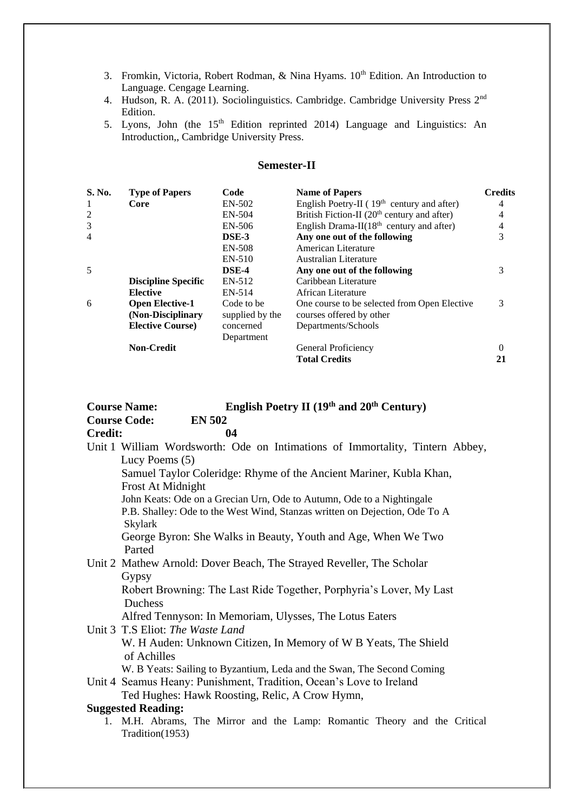- 3. Fromkin, Victoria, Robert Rodman, & Nina Hyams.  $10<sup>th</sup>$  Edition. An Introduction to Language. Cengage Learning.
- 4. Hudson, R. A. (2011). Sociolinguistics. Cambridge. Cambridge University Press 2nd Edition.
- 5. Lyons, John (the  $15<sup>th</sup>$  Edition reprinted 2014) Language and Linguistics: An Introduction,, Cambridge University Press.

#### **Semester-II**

| S. No.         | <b>Type of Papers</b>      | Code            | <b>Name of Papers</b>                                   | Credits        |
|----------------|----------------------------|-----------------|---------------------------------------------------------|----------------|
|                | Core                       | EN-502          | English Poetry-II ( $19th$ century and after)           | 4              |
| $\overline{c}$ |                            | EN-504          | British Fiction-II (20 <sup>th</sup> century and after) | $\overline{4}$ |
| 3              |                            | EN-506          | English Drama-II $(18th$ century and after)             | 4              |
| 4              |                            | DSE-3           | Any one out of the following                            | 3              |
|                |                            | <b>EN-508</b>   | American Literature                                     |                |
|                |                            | EN-510          | Australian Literature                                   |                |
| 5              |                            | DSE-4           | Any one out of the following                            | 3              |
|                | <b>Discipline Specific</b> | EN-512          | Caribbean Literature                                    |                |
|                | <b>Elective</b>            | EN-514          | African Literature                                      |                |
| 6              | <b>Open Elective-1</b>     | Code to be      | One course to be selected from Open Elective            | 3              |
|                | (Non-Disciplinary          | supplied by the | courses offered by other                                |                |
|                | <b>Elective Course)</b>    | concerned       | Departments/Schools                                     |                |
|                |                            | Department      |                                                         |                |
|                | <b>Non-Credit</b>          |                 | General Proficiency                                     | 0              |
|                |                            |                 | <b>Total Credits</b>                                    | 21             |

### **Course Name: English Poetry II** (19<sup>th</sup> and 20<sup>th</sup> Century)<br> **Course Code: EN 502 Course Code: Credit: 04**

| Unit 1 William Wordsworth: Ode on Intimations of Immortality, Tintern Abbey,                 |  |  |  |  |
|----------------------------------------------------------------------------------------------|--|--|--|--|
| Lucy Poems $(5)$                                                                             |  |  |  |  |
| Samuel Taylor Coleridge: Rhyme of the Ancient Mariner, Kubla Khan,                           |  |  |  |  |
| <b>Frost At Midnight</b>                                                                     |  |  |  |  |
| John Keats: Ode on a Grecian Urn, Ode to Autumn, Ode to a Nightingale                        |  |  |  |  |
| P.B. Shalley: Ode to the West Wind, Stanzas written on Dejection, Ode To A<br><b>Skylark</b> |  |  |  |  |
| George Byron: She Walks in Beauty, Youth and Age, When We Two<br>Parted                      |  |  |  |  |
| Unit 2 Mathew Arnold: Dover Beach, The Strayed Reveller, The Scholar                         |  |  |  |  |
| Gypsy                                                                                        |  |  |  |  |
| Robert Browning: The Last Ride Together, Porphyria's Lover, My Last                          |  |  |  |  |
| Duchess                                                                                      |  |  |  |  |
| Alfred Tennyson: In Memoriam, Ulysses, The Lotus Eaters                                      |  |  |  |  |
| Unit 3 T.S Eliot: The Waste Land                                                             |  |  |  |  |
| $CUT \cup T$<br>$\mathbf{v}$                                                                 |  |  |  |  |

W. H Auden: Unknown Citizen, In Memory of W B Yeats, The Shield of Achilles

W. B Yeats: Sailing to Byzantium, Leda and the Swan, The Second Coming

Unit 4 Seamus Heany: Punishment, Tradition, Ocean's Love to Ireland Ted Hughes: Hawk Roosting, Relic, A Crow Hymn,

#### **Suggested Reading:**

1. M.H. Abrams, The Mirror and the Lamp: Romantic Theory and the Critical Tradition(1953)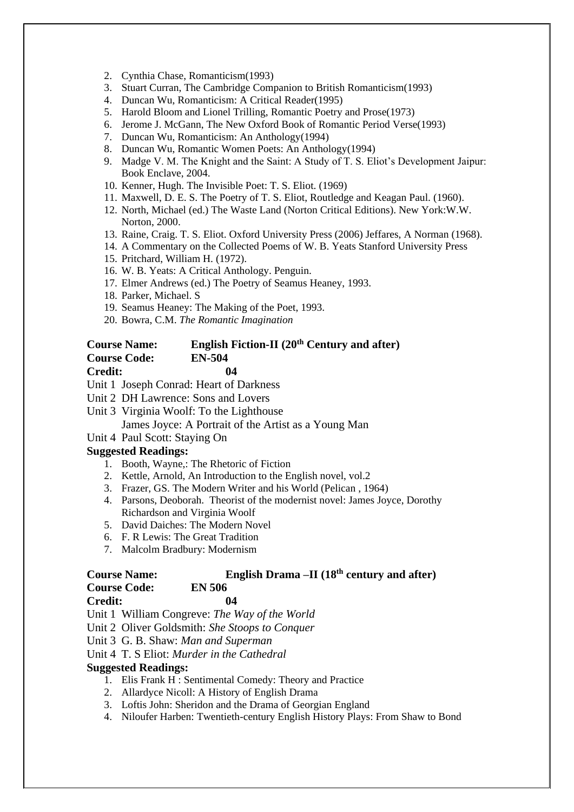- 2. Cynthia Chase, Romanticism(1993)
- 3. Stuart Curran, The Cambridge Companion to British Romanticism(1993)
- 4. Duncan Wu, Romanticism: A Critical Reader(1995)
- 5. Harold Bloom and Lionel Trilling, Romantic Poetry and Prose(1973)
- 6. Jerome J. McGann, The New Oxford Book of Romantic Period Verse(1993)
- 7. Duncan Wu, Romanticism: An Anthology(1994)
- 8. Duncan Wu, Romantic Women Poets: An Anthology(1994)
- 9. Madge V. M. The Knight and the Saint: A Study of T. S. Eliot's Development Jaipur: Book Enclave, 2004.
- 10. Kenner, Hugh. The Invisible Poet: T. S. Eliot. (1969)
- 11. Maxwell, D. E. S. The Poetry of T. S. Eliot, Routledge and Keagan Paul. (1960).
- 12. North, Michael (ed.) The Waste Land (Norton Critical Editions). New York:W.W. Norton, 2000.
- 13. Raine, Craig. T. S. Eliot. Oxford University Press (2006) Jeffares, A Norman (1968).
- 14. A Commentary on the Collected Poems of W. B. Yeats Stanford University Press
- 15. Pritchard, William H. (1972).
- 16. W. B. Yeats: A Critical Anthology. Penguin.
- 17. Elmer Andrews (ed.) The Poetry of Seamus Heaney, 1993.
- 18. Parker, Michael. S
- 19. Seamus Heaney: The Making of the Poet, 1993.
- 20. Bowra, C.M. *The Romantic Imagination*

#### **Course Name: English Fiction-II (20th Century and after) Course Code: EN-504 Credit: 04**

- Unit 1 Joseph Conrad: Heart of Darkness
- Unit 2 DH Lawrence: Sons and Lovers
- Unit 3 Virginia Woolf: To the Lighthouse
	- James Joyce: A Portrait of the Artist as a Young Man

#### Unit 4 Paul Scott: Staying On

#### **Suggested Readings:**

- 1. Booth, Wayne,: The Rhetoric of Fiction
- 2. Kettle, Arnold, An Introduction to the English novel, vol.2
- 3. Frazer, GS. The Modern Writer and his World (Pelican , 1964)
- 4. Parsons, Deoborah. Theorist of the modernist novel: James Joyce, Dorothy Richardson and Virginia Woolf
- 5. David Daiches: The Modern Novel
- 6. F. R Lewis: The Great Tradition
- 7. Malcolm Bradbury: Modernism

#### **Course Name: English Drama –II (18th century and after)**

#### **Course Code: EN 506 Credit: 04**

#### Unit 1 William Congreve: *The Way of the World*

- Unit 2 Oliver Goldsmith: *She Stoops to Conquer*
- Unit 3 G. B. Shaw: *Man and Superman*

Unit 4 T. S Eliot: *Murder in the Cathedral*

#### **Suggested Readings:**

- 1. Elis Frank H : Sentimental Comedy: Theory and Practice
- 2. Allardyce Nicoll: A History of English Drama
- 3. Loftis John: Sheridon and the Drama of Georgian England
- 4. Niloufer Harben: Twentieth-century English History Plays: From Shaw to Bond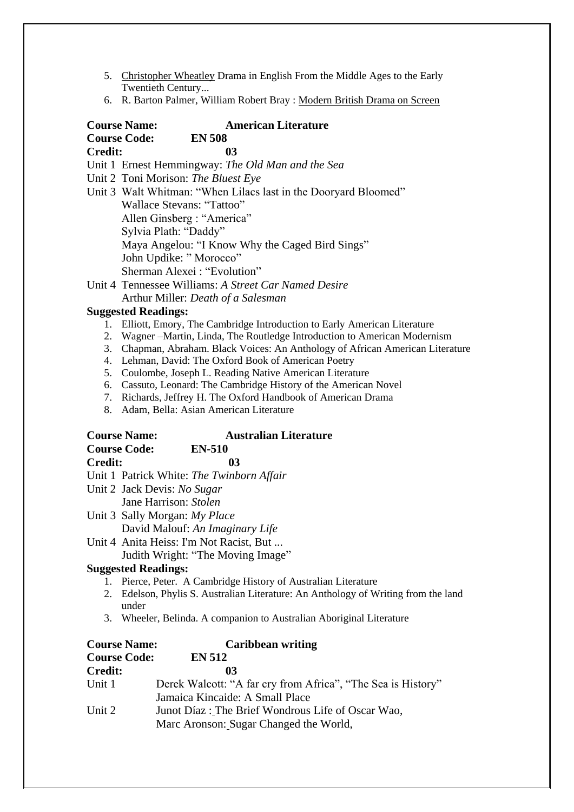- 5. [Christopher Wheatley](http://www.google.co.in/search?safe=active&sa=X&hl=en-IN&gbv=2&tbm=bks&tbm=bks&q=inauthor:%22Christopher+Wheatley%22&ved=0ahUKEwjz34zyxafPAhUBpY8KHZwqB_QQ9AgIITAB) Drama in English From the Middle Ages to the Early Twentieth Century...
- 6. R. Barton Palmer, William Robert Bray : [Modern British Drama on Screen](https://books.google.co.in/books?id=lhVbAgAAQBAJ&pg=PA1&dq=Modern+british+drama+an+introduction&hl=en&sa=X&ved=0ahUKEwiCm6m_xqfPAhVDLY8KHe_wDPIQ6AEIGDAB)

| <b>Course Name:</b>                               |                                                                                                                                           | <b>American Literature</b>                                      |
|---------------------------------------------------|-------------------------------------------------------------------------------------------------------------------------------------------|-----------------------------------------------------------------|
| <b>Course Code:</b>                               | <b>EN 508</b>                                                                                                                             |                                                                 |
| <b>Credit:</b>                                    | 03                                                                                                                                        |                                                                 |
| Unit 1 Ernest Hemmingway: The Old Man and the Sea |                                                                                                                                           |                                                                 |
| Unit 2 Toni Morison: The Bluest Eye               |                                                                                                                                           |                                                                 |
|                                                   |                                                                                                                                           | Unit 3 Walt Whitman: "When Lilacs last in the Dooryard Bloomed" |
|                                                   | Wallace Stevans: "Tattoo"                                                                                                                 |                                                                 |
|                                                   | $\begin{array}{ccc} \begin{array}{ccc} \text{11} & \text{12} & \text{13} \\ \text{14} & \text{15} & \text{16} \\ \end{array} \end{array}$ |                                                                 |

Allen Ginsberg : "America" Sylvia Plath: "Daddy" Maya Angelou: "I Know Why the Caged Bird Sings" John Updike: " Morocco" Sherman Alexei : "Evolution"

Unit 4 Tennessee Williams: *A Street Car Named Desire* Arthur Miller: *Death of a Salesman*

# **Suggested Readings:**

- 1. Elliott, Emory, The Cambridge Introduction to Early American Literature
- 2. Wagner –Martin, Linda, The Routledge Introduction to American Modernism
- 3. Chapman, Abraham. Black Voices: An Anthology of African American Literature
- 4. Lehman, David: The Oxford Book of American Poetry
- 5. Coulombe, Joseph L. Reading Native American Literature
- 6. Cassuto, Leonard: The Cambridge History of the American Novel
- 7. Richards, Jeffrey H. The Oxford Handbook of American Drama
- 8. Adam, Bella: Asian American Literature

# **Course Name: Australian Literature Course Code: EN-510 Credit: 03**

- Unit 1 Patrick White: *The Twinborn Affair*
- Unit 2 Jack Devis: *No Sugar*
- Jane Harrison: *Stolen* Unit 3 Sally Morgan: *My Place*
	- David Malouf: *An Imaginary Life*
- Unit 4 Anita Heiss: I'm Not Racist, But ...

# Judith Wright: "The Moving Image"

### **Suggested Readings:**

- 1. Pierce, Peter. A Cambridge History of Australian Literature
- 2. Edelson, Phylis S. Australian Literature: An Anthology of Writing from the land under
- 3. Wheeler, Belinda. A companion to Australian Aboriginal Literature

| <b>Course Name:</b> | Caribbean writing                                            |
|---------------------|--------------------------------------------------------------|
| <b>Course Code:</b> | <b>EN 512</b>                                                |
| <b>Credit:</b>      | 03                                                           |
| Unit 1              | Derek Walcott: "A far cry from Africa", "The Sea is History" |
|                     | Jamaica Kincaide: A Small Place                              |
| Unit 2              | Junot Díaz: The Brief Wondrous Life of Oscar Wao,            |
|                     | Marc Aronson: Sugar Changed the World,                       |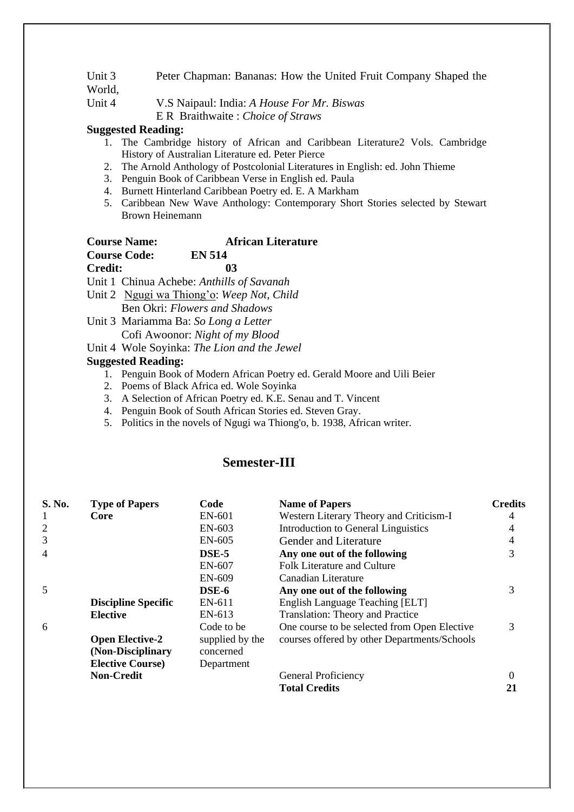Unit 3 Peter Chapman: Bananas: How the United Fruit Company Shaped the

World,

- Unit 4 V.S Naipaul: India: *A House For Mr. Biswas*
	- E R Braithwaite : *Choice of Straws*

#### **Suggested Reading:**

- 1. The Cambridge history of African and Caribbean Literature2 Vols. Cambridge History of Australian Literature ed. Peter Pierce
- 2. The Arnold Anthology of Postcolonial Literatures in English: ed. John Thieme
- 3. Penguin Book of Caribbean Verse in English ed. Paula
- 4. Burnett Hinterland Caribbean Poetry ed. E. A Markham
- 5. Caribbean New Wave Anthology: Contemporary Short Stories selected by Stewart Brown Heinemann

# **Course Code: EN 514**

**Credit: 03**

Unit 1 Chinua Achebe: *Anthills of Savanah*

Unit 2 [Ngugi wa Thiong'o:](http://www.ngugiwathiongo.com/) *Weep Not, Child* Ben Okri: *Flowers and Shadows*

Unit 3 Mariamma Ba: *So Long a Letter* Cofi Awoonor: *Night of my Blood*

Unit 4 Wole Soyinka: *The Lion and the Jewel*

#### **Suggested Reading:**

- 1. Penguin Book of Modern African Poetry ed. Gerald Moore and Uili Beier
- 2. Poems of Black Africa ed. Wole Soyinka
- 3. A Selection of African Poetry ed. K.E. Senau and T. Vincent
- 4. Penguin Book of South African Stories ed. Steven Gray.
- 5. Politics in the novels of Ngugi wa Thiong'o, b. 1938, African writer.

# **Semester-III**

| S. No.         | <b>Type of Papers</b>      | Code            | <b>Name of Papers</b>                        | <b>Credits</b> |
|----------------|----------------------------|-----------------|----------------------------------------------|----------------|
| 1              | Core                       | EN-601          | Western Literary Theory and Criticism-I      |                |
| $\overline{2}$ |                            | $EN-603$        | Introduction to General Linguistics          | 4              |
| 3              |                            | $EN-605$        | <b>Gender and Literature</b>                 | 4              |
| $\overline{4}$ |                            | DSE-5           | Any one out of the following                 | 3              |
|                |                            | EN-607          | <b>Folk Literature and Culture</b>           |                |
|                |                            | EN-609          | Canadian Literature                          |                |
| 5              |                            | DSE-6           | Any one out of the following                 | 3              |
|                | <b>Discipline Specific</b> | EN-611          | English Language Teaching [ELT]              |                |
|                | <b>Elective</b>            | EN-613          | Translation: Theory and Practice             |                |
| 6              |                            | Code to be      | One course to be selected from Open Elective | 3              |
|                | <b>Open Elective-2</b>     | supplied by the | courses offered by other Departments/Schools |                |
|                | (Non-Disciplinary          | concerned       |                                              |                |
|                | <b>Elective Course</b> )   | Department      |                                              |                |
|                | <b>Non-Credit</b>          |                 | <b>General Proficiency</b>                   | $\Omega$       |
|                |                            |                 | <b>Total Credits</b>                         | 21             |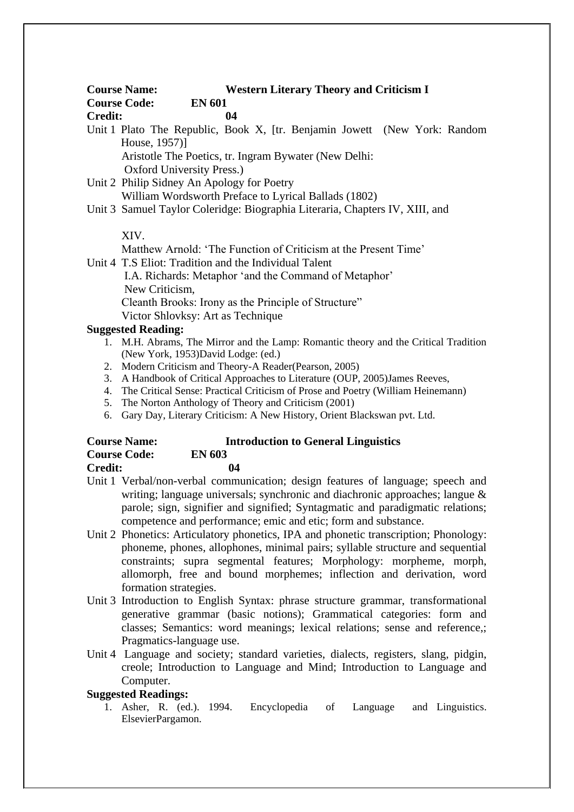| <b>Course Name:</b> | <b>Western Literary Theory and Criticism I</b> |
|---------------------|------------------------------------------------|
| <b>Course Code:</b> | <b>EN 601</b>                                  |
| <b>Credit:</b>      | 04                                             |

Unit 1 Plato The Republic, Book X, [tr. Benjamin Jowett (New York: Random House, 1957)]

Aristotle The Poetics, tr. Ingram Bywater (New Delhi:

Oxford University Press.)

Unit 2 Philip Sidney An Apology for Poetry William Wordsworth Preface to Lyrical Ballads (1802)

Unit 3 Samuel Taylor Coleridge: Biographia Literaria, Chapters IV, XIII, and

#### XIV.

Matthew Arnold: 'The Function of Criticism at the Present Time'

Unit 4 T.S Eliot: Tradition and the Individual Talent I.A. Richards: Metaphor 'and the Command of Metaphor' New Criticism, Cleanth Brooks: Irony as the Principle of Structure" Victor Shlovksy: Art as Technique

#### **Suggested Reading:**

- 1. M.H. Abrams, The Mirror and the Lamp: Romantic theory and the Critical Tradition (New York, 1953)David Lodge: (ed.)
- 2. Modern Criticism and Theory-A Reader(Pearson, 2005)
- 3. A Handbook of Critical Approaches to Literature (OUP, 2005)James Reeves,
- 4. The Critical Sense: Practical Criticism of Prose and Poetry (William Heinemann)
- 5. The Norton Anthology of Theory and Criticism (2001)
- 6. Gary Day, Literary Criticism: A New History, Orient Blackswan pvt. Ltd.

| <b>Course Name:</b> | <b>Introduction to General Linguistics</b> |
|---------------------|--------------------------------------------|
| <b>Course Code:</b> | <b>EN 603</b>                              |
| <b>Credit:</b>      | 04                                         |

- Unit 1 Verbal/non-verbal communication; design features of language; speech and writing; language universals; synchronic and diachronic approaches; langue & parole; sign, signifier and signified; Syntagmatic and paradigmatic relations; competence and performance; emic and etic; form and substance.
- Unit 2 Phonetics: Articulatory phonetics, IPA and phonetic transcription; Phonology: phoneme, phones, allophones, minimal pairs; syllable structure and sequential constraints; supra segmental features; Morphology: morpheme, morph, allomorph, free and bound morphemes; inflection and derivation, word formation strategies.
- Unit 3 Introduction to English Syntax: phrase structure grammar, transformational generative grammar (basic notions); Grammatical categories: form and classes; Semantics: word meanings; lexical relations; sense and reference,; Pragmatics-language use.
- Unit 4 Language and society; standard varieties, dialects, registers, slang, pidgin, creole; Introduction to Language and Mind; Introduction to Language and Computer.

#### **Suggested Readings:**

1. Asher, R. (ed.). 1994. Encyclopedia of Language and Linguistics. ElsevierPargamon.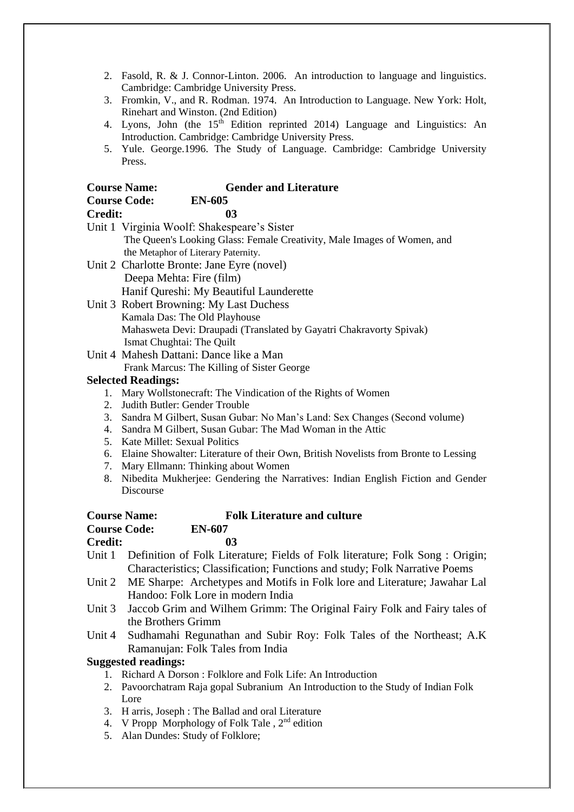- 2. Fasold, R. & J. Connor-Linton. 2006. An introduction to language and linguistics. Cambridge: Cambridge University Press.
- 3. Fromkin, V., and R. Rodman. 1974. An Introduction to Language. New York: Holt, Rinehart and Winston. (2nd Edition)
- 4. Lyons, John (the  $15<sup>th</sup>$  Edition reprinted 2014) Language and Linguistics: An Introduction. Cambridge: Cambridge University Press.
- 5. Yule. George.1996. The Study of Language. Cambridge: Cambridge University Press.

| <b>Course Name:</b> | <b>Gender and Literature</b>                                            |
|---------------------|-------------------------------------------------------------------------|
| <b>Course Code:</b> | <b>EN-605</b>                                                           |
| <b>Credit:</b>      | 03                                                                      |
|                     | Unit 1 Virginia Woolf: Shakespeare's Sister                             |
|                     | The Queen's Looking Glass: Female Creativity, Male Images of Women, and |
|                     | the Metaphor of Literary Paternity.                                     |

- Unit 2 Charlotte Bronte: Jane Eyre (novel) Deepa Mehta: Fire (film) Hanif Qureshi: My Beautiful Launderette
- Unit 3 Robert Browning: My Last Duchess Kamala Das: The Old Playhouse Mahasweta Devi: Draupadi (Translated by Gayatri Chakravorty Spivak) Ismat Chughtai: The Quilt
- Unit 4 Mahesh Dattani: Dance like a Man Frank Marcus: The Killing of Sister George

#### **Selected Readings:**

- 1. Mary Wollstonecraft: The Vindication of the Rights of Women
- 2. Judith Butler: Gender Trouble
- 3. Sandra M Gilbert, Susan Gubar: No Man's Land: Sex Changes (Second volume)
- 4. Sandra M Gilbert, Susan Gubar: The Mad Woman in the Attic
- 5. Kate Millet: Sexual Politics
- 6. Elaine Showalter: Literature of their Own, British Novelists from Bronte to Lessing
- 7. Mary Ellmann: Thinking about Women
- 8. Nibedita Mukherjee: Gendering the Narratives: Indian English Fiction and Gender Discourse

| <b>Course Name:</b> | <b>Folk Literature and culture</b> |
|---------------------|------------------------------------|
|                     |                                    |

#### **Course Code: EN-607 Credit: 03**

- Unit 1 Definition of Folk Literature: Fields of Folk literature: Folk Song : Origin: Characteristics; Classification; Functions and study; Folk Narrative Poems
- Unit 2 ME Sharpe: Archetypes and Motifs in Folk lore and Literature; Jawahar Lal Handoo: Folk Lore in modern India
- Unit 3 Jaccob Grim and Wilhem Grimm: The Original Fairy Folk and Fairy tales of the Brothers Grimm
- Unit 4 Sudhamahi Regunathan and Subir Roy: Folk Tales of the Northeast; A.K Ramanujan: Folk Tales from India

#### **Suggested readings:**

- 1. Richard A Dorson : Folklore and Folk Life: An Introduction
- 2. Pavoorchatram Raja gopal Subranium An Introduction to the Study of Indian Folk Lore
- 3. H arris, Joseph : The Ballad and oral Literature
- 4. V Propp Morphology of Folk Tale,  $2<sup>nd</sup>$  edition
- 5. Alan Dundes: Study of Folklore;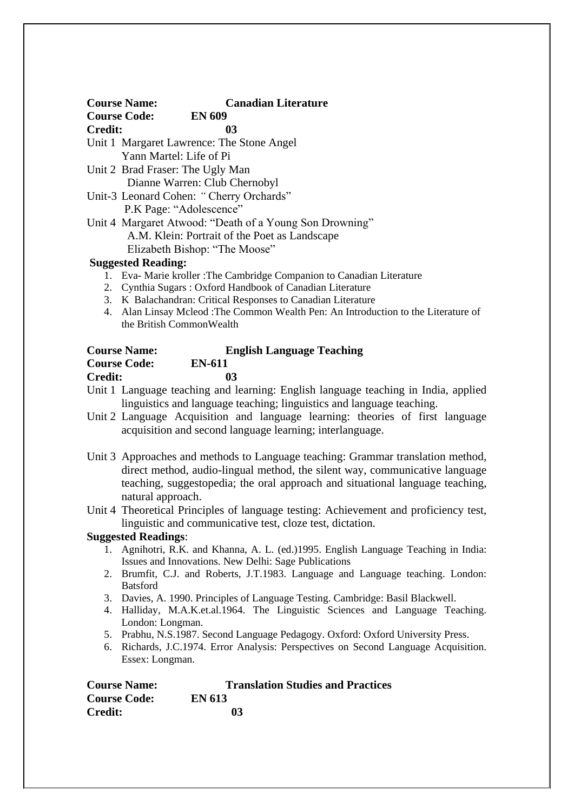**Course Name: Canadian Literature Course Code: EN 609 Credit: 03** Unit 1 Margaret Lawrence: The Stone Angel Yann Martel: Life of Pi Unit 2 Brad Fraser: The Ugly Man

 Dianne Warren: Club Chernobyl Unit-3 Leonard Cohen: *"* Cherry Orchards"

P.K Page: "Adolescence"

Unit 4 Margaret Atwood: "Death of a Young Son Drowning" A.M. Klein: Portrait of the Poet as Landscape Elizabeth Bishop: "The Moose"

#### **Suggested Reading:**

- 1. Eva- Marie kroller :The Cambridge Companion to Canadian Literature
- 2. Cynthia Sugars : Oxford Handbook of Canadian Literature
- 3. K Balachandran: Critical Responses to Canadian Literature
- 4. Alan Linsay Mcleod :The Common Wealth Pen: An Introduction to the Literature of the British CommonWealth

| <b>Course Name:</b> | <b>English Language Teaching</b> |  |  |
|---------------------|----------------------------------|--|--|
| <b>Course Code:</b> | <b>EN-611</b>                    |  |  |
| <b>Credit:</b>      | 03                               |  |  |
| -------             |                                  |  |  |

- Unit 1 Language teaching and learning: English language teaching in India, applied linguistics and language teaching; linguistics and language teaching.
- Unit 2 Language Acquisition and language learning: theories of first language acquisition and second language learning; interlanguage.
- Unit 3 Approaches and methods to Language teaching: Grammar translation method, direct method, audio-lingual method, the silent way, communicative language teaching, suggestopedia; the oral approach and situational language teaching, natural approach.

Unit 4 Theoretical Principles of language testing: Achievement and proficiency test, linguistic and communicative test, cloze test, dictation.

#### **Suggested Readings**:

- 1. Agnihotri, R.K. and Khanna, A. L. (ed.)1995. English Language Teaching in India: Issues and Innovations. New Delhi: Sage Publications
- 2. Brumfit, C.J. and Roberts, J.T.1983. Language and Language teaching. London: Batsford
- 3. Davies, A. 1990. Principles of Language Testing. Cambridge: Basil Blackwell.
- 4. Halliday, M.A.K.et.al.1964. The Linguistic Sciences and Language Teaching. London: Longman.
- 5. Prabhu, N.S.1987. Second Language Pedagogy. Oxford: Oxford University Press.
- 6. Richards, J.C.1974. Error Analysis: Perspectives on Second Language Acquisition. Essex: Longman.

| <b>Course Name:</b> | <b>Translation Studies and Practices</b> |
|---------------------|------------------------------------------|
| <b>Course Code:</b> | <b>EN 613</b>                            |
| <b>Credit:</b>      | 03                                       |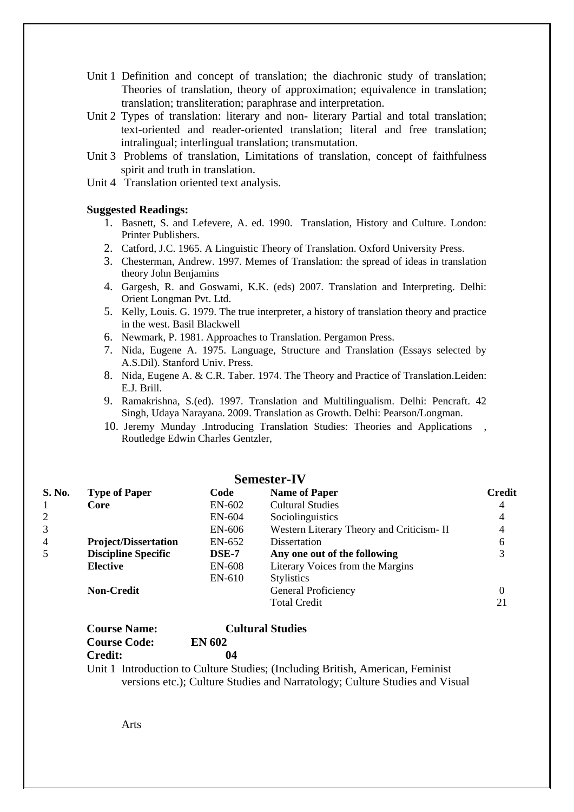- Unit 1 Definition and concept of translation; the diachronic study of translation; Theories of translation, theory of approximation; equivalence in translation; translation; transliteration; paraphrase and interpretation.
- Unit 2 Types of translation: literary and non- literary Partial and total translation; text-oriented and reader-oriented translation; literal and free translation; intralingual; interlingual translation; transmutation.
- Unit 3 Problems of translation, Limitations of translation, concept of faithfulness spirit and truth in translation.
- Unit 4 Translation oriented text analysis.

#### **Suggested Readings:**

- 1. Basnett, S. and Lefevere, A. ed. 1990. Translation, History and Culture. London: Printer Publishers.
- 2. Catford, J.C. 1965. A Linguistic Theory of Translation. Oxford University Press.
- 3. Chesterman, Andrew. 1997. Memes of Translation: the spread of ideas in translation theory John Benjamins
- 4. Gargesh, R. and Goswami, K.K. (eds) 2007. Translation and Interpreting. Delhi: Orient Longman Pvt. Ltd.
- 5. Kelly, Louis. G. 1979. The true interpreter, a history of translation theory and practice in the west. Basil Blackwell
- 6. Newmark, P. 1981. Approaches to Translation. Pergamon Press.
- 7. Nida, Eugene A. 1975. Language, Structure and Translation (Essays selected by A.S.Dil). Stanford Univ. Press.
- 8. Nida, Eugene A. & C.R. Taber. 1974. The Theory and Practice of Translation.Leiden: E.J. Brill.
- 9. Ramakrishna, S.(ed). 1997. Translation and Multilingualism. Delhi: Pencraft. 42 Singh, Udaya Narayana. 2009. Translation as Growth. Delhi: Pearson/Longman.
- 10. Jeremy Munday .Introducing Translation Studies: Theories and Applications , Routledge Edwin Charles Gentzler,

| <b>Semester-IV</b> |                             |              |                                          |               |
|--------------------|-----------------------------|--------------|------------------------------------------|---------------|
| S. No.             | <b>Type of Paper</b>        | Code         | <b>Name of Paper</b>                     | <b>Credit</b> |
|                    | Core                        | EN-602       | <b>Cultural Studies</b>                  | 4             |
| $\overline{2}$     |                             | EN-604       | Sociolinguistics                         |               |
| 3                  |                             | EN-606       | Western Literary Theory and Criticism-II | 4             |
| $\overline{4}$     | <b>Project/Dissertation</b> | EN-652       | Dissertation                             | 6             |
| 5                  | <b>Discipline Specific</b>  | <b>DSE-7</b> | Any one out of the following             | 3             |
|                    | <b>Elective</b>             | EN-608       | Literary Voices from the Margins         |               |
|                    |                             | EN-610       | <b>Stylistics</b>                        |               |
|                    | <b>Non-Credit</b>           |              | General Proficiency                      | 0             |
|                    |                             |              | <b>Total Credit</b>                      | 21            |
|                    |                             |              |                                          |               |

| <b>Course Name:</b>                                                                     |               | <b>Cultural Studies</b>                                                |  |  |  |
|-----------------------------------------------------------------------------------------|---------------|------------------------------------------------------------------------|--|--|--|
| <b>Course Code:</b>                                                                     | <b>EN 602</b> |                                                                        |  |  |  |
| Credit:                                                                                 | 04            |                                                                        |  |  |  |
| $\mathbf{r}$ . $\mathbf{r}$ . $\mathbf{r}$ . $\mathbf{r}$ . $\mathbf{r}$ . $\mathbf{r}$ |               | $\alpha$ , $\alpha$ $\alpha$ , $\alpha$ $\alpha$ , $\alpha$ , $\alpha$ |  |  |  |

Unit 1 Introduction to Culture Studies; (Including British, American, Feminist versions etc.); Culture Studies and Narratology; Culture Studies and Visual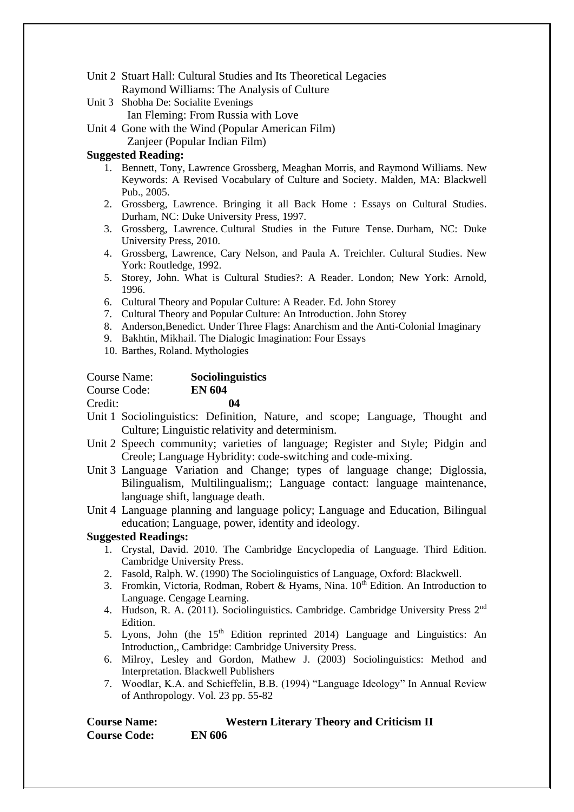- Unit 2 Stuart Hall: Cultural Studies and Its Theoretical Legacies Raymond Williams: The Analysis of Culture
- Unit 3 Shobha De: Socialite Evenings Ian Fleming: From Russia with Love
- Unit 4 Gone with the Wind (Popular American Film) Zanjeer (Popular Indian Film)

#### **Suggested Reading:**

- 1. Bennett, Tony, Lawrence Grossberg, Meaghan Morris, and Raymond Williams. New Keywords: A Revised Vocabulary of Culture and Society. Malden, MA: Blackwell Pub., 2005.
- 2. Grossberg, Lawrence. Bringing it all Back Home : Essays on Cultural Studies. Durham, NC: Duke University Press, 1997.
- 3. Grossberg, Lawrence. Cultural Studies in the Future Tense. Durham, NC: Duke University Press, 2010.
- 4. Grossberg, Lawrence, Cary Nelson, and Paula A. Treichler. Cultural Studies. New York: Routledge, 1992.
- 5. Storey, John. What is Cultural Studies?: A Reader. London; New York: Arnold, 1996.
- 6. Cultural Theory and Popular Culture: A Reader. Ed. John Storey
- 7. Cultural Theory and Popular Culture: An Introduction. John Storey
- 8. Anderson,Benedict. Under Three Flags: Anarchism and the Anti-Colonial Imaginary
- 9. Bakhtin, Mikhail. The Dialogic Imagination: Four Essays
- 10. Barthes, Roland. Mythologies

| Course Name: | <b>Sociolinguistics</b> |
|--------------|-------------------------|
|--------------|-------------------------|

# Course Code: **EN 604**

#### Credit: **04**

- Unit 1 Sociolinguistics: Definition, Nature, and scope; Language, Thought and Culture; Linguistic relativity and determinism.
- Unit 2 Speech community; varieties of language; Register and Style; Pidgin and Creole; Language Hybridity: code-switching and code-mixing.
- Unit 3 Language Variation and Change; types of language change; Diglossia, Bilingualism, Multilingualism;; Language contact: language maintenance, language shift, language death.
- Unit 4 Language planning and language policy; Language and Education, Bilingual education; Language, power, identity and ideology.

#### **Suggested Readings:**

- 1. Crystal, David. 2010. The Cambridge Encyclopedia of Language. Third Edition. Cambridge University Press.
- 2. Fasold, Ralph. W. (1990) The Sociolinguistics of Language, Oxford: Blackwell.
- 3. Fromkin, Victoria, Rodman, Robert & Hyams, Nina.  $10^{th}$  Edition. An Introduction to Language. Cengage Learning.
- 4. Hudson, R. A. (2011). Sociolinguistics. Cambridge. Cambridge University Press 2nd Edition.
- 5. Lyons, John (the  $15<sup>th</sup>$  Edition reprinted 2014) Language and Linguistics: An Introduction,, Cambridge: Cambridge University Press.
- 6. Milroy, Lesley and Gordon, Mathew J. (2003) Sociolinguistics: Method and Interpretation. Blackwell Publishers
- 7. Woodlar, K.A. and Schieffelin, B.B. (1994) "Language Ideology" In Annual Review of Anthropology. Vol. 23 pp. 55-82

| <b>Course Name:</b> | <b>Western Literary Theory and Criticism II</b> |
|---------------------|-------------------------------------------------|
| <b>Course Code:</b> | <b>EN 606</b>                                   |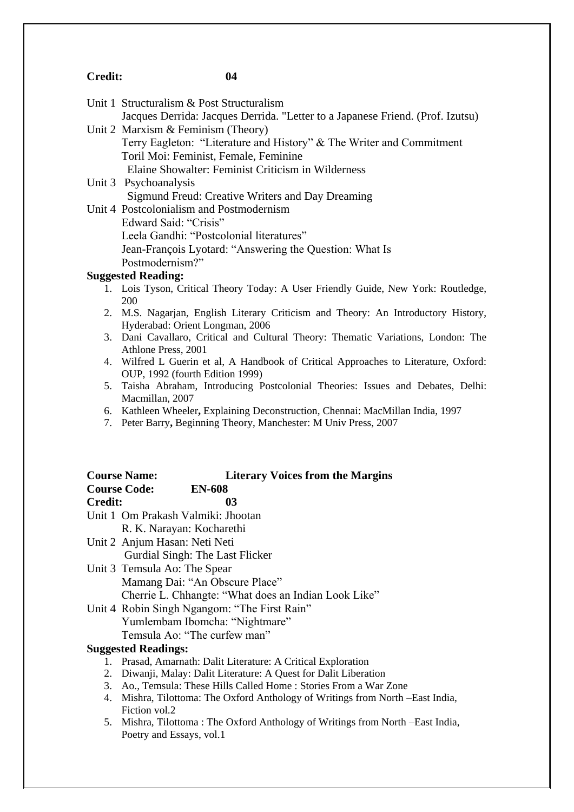#### **Credit: 04**

Unit 1 Structuralism & Post Structuralism Jacques Derrida: Jacques Derrida. "Letter to a Japanese Friend. (Prof. Izutsu) Unit 2 Marxism & Feminism (Theory) Terry Eagleton: "Literature and History" & The Writer and Commitment Toril Moi: Feminist, Female, Feminine Elaine Showalter: Feminist Criticism in Wilderness Unit 3 Psychoanalysis Sigmund Freud: Creative Writers and Day Dreaming Unit 4 Postcolonialism and Postmodernism Edward Said: "Crisis" Leela Gandhi: "Postcolonial literatures"

Jean-François Lyotard: "Answering the Question: What Is

#### **Suggested Reading:**

Postmodernism?"

- 1. Lois Tyson, Critical Theory Today: A User Friendly Guide, New York: Routledge, 200
- 2. M.S. Nagarjan, English Literary Criticism and Theory: An Introductory History, Hyderabad: Orient Longman, 2006
- 3. Dani Cavallaro, Critical and Cultural Theory: Thematic Variations, London: The Athlone Press, 2001
- 4. Wilfred L Guerin et al, A Handbook of Critical Approaches to Literature, Oxford: OUP, 1992 (fourth Edition 1999)
- 5. Taisha Abraham, Introducing Postcolonial Theories: Issues and Debates, Delhi: Macmillan, 2007
- 6. Kathleen Wheeler**,** Explaining Deconstruction, Chennai: MacMillan India, 1997
- 7. Peter Barry**,** Beginning Theory, Manchester: M Univ Press, 2007

| <b>Course Name:</b> | <b>Literary Voices from the Margins</b> |
|---------------------|-----------------------------------------|
| <b>Course Code:</b> | <b>EN-608</b>                           |
|                     |                                         |

# **Credit: 03**

Unit 1 Om Prakash Valmiki: Jhootan

R. K. Narayan: Kocharethi Unit 2 Anjum Hasan: Neti Neti

Gurdial Singh: The Last Flicker

Unit 3 Temsula Ao: The Spear Mamang Dai: "An Obscure Place" Cherrie L. Chhangte: "What does an Indian Look Like"

Unit 4 Robin Singh Ngangom: "The First Rain" Yumlembam Ibomcha: "Nightmare"

Temsula Ao: "The curfew man"

### **Suggested Readings:**

- 1. Prasad, Amarnath: Dalit Literature: A Critical Exploration
- 2. Diwanji, Malay: Dalit Literature: A Quest for Dalit Liberation
- 3. Ao., Temsula: These Hills Called Home : Stories From a War Zone
- 4. Mishra, Tilottoma: The Oxford Anthology of Writings from North –East India, Fiction vol.2
- 5. Mishra, Tilottoma : The Oxford Anthology of Writings from North –East India, Poetry and Essays, vol.1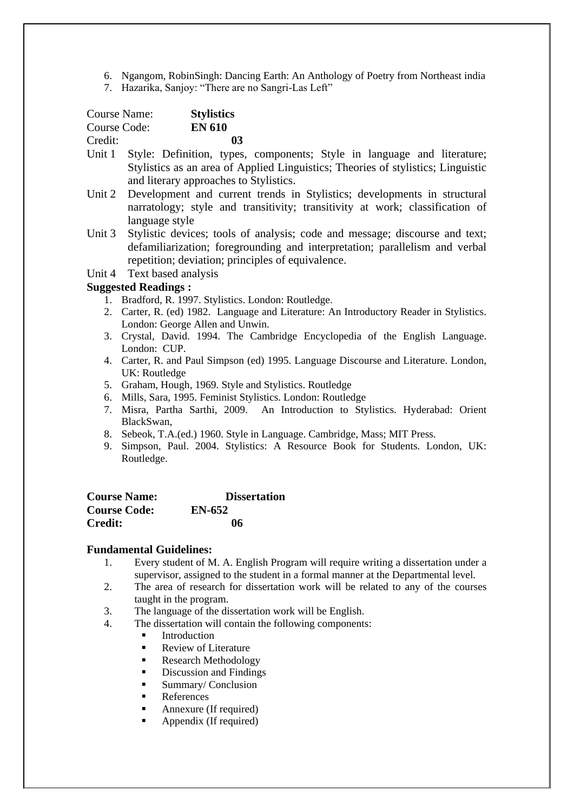- 6. Ngangom, RobinSingh: Dancing Earth: An Anthology of Poetry from Northeast india
- 7. Hazarika, Sanjoy: "There are no Sangri-Las Left"

| Course Name: | <b>Stylistics</b> |
|--------------|-------------------|
| Course Code: | <b>EN 610</b>     |
| Credit:      | 03                |

- Unit 1 Style: Definition, types, components; Style in language and literature; Stylistics as an area of Applied Linguistics; Theories of stylistics; Linguistic and literary approaches to Stylistics.
- Unit 2 Development and current trends in Stylistics; developments in structural narratology; style and transitivity; transitivity at work; classification of language style
- Unit 3 Stylistic devices; tools of analysis; code and message; discourse and text; defamiliarization; foregrounding and interpretation; parallelism and verbal repetition; deviation; principles of equivalence.
- Unit 4 Text based analysis

#### **Suggested Readings :**

- 1. Bradford, R. 1997. Stylistics. London: Routledge.
- 2. Carter, R. (ed) 1982. Language and Literature: An Introductory Reader in Stylistics. London: George Allen and Unwin.
- 3. Crystal, David. 1994. The Cambridge Encyclopedia of the English Language. London: CUP.
- 4. Carter, R. and Paul Simpson (ed) 1995. Language Discourse and Literature. London, UK: Routledge
- 5. Graham, Hough, 1969. Style and Stylistics. Routledge
- 6. Mills, Sara, 1995. Feminist Stylistics. London: Routledge
- 7. Misra, Partha Sarthi, 2009. An Introduction to Stylistics. Hyderabad: Orient BlackSwan,
- 8. Sebeok, T.A.(ed.) 1960. Style in Language. Cambridge, Mass; MIT Press.
- 9. Simpson, Paul. 2004. Stylistics: A Resource Book for Students. London, UK: Routledge.

| <b>Course Name:</b> | <b>Dissertation</b> |
|---------------------|---------------------|
| <b>Course Code:</b> | EN-652              |
| <b>Credit:</b>      | 06                  |

#### **Fundamental Guidelines:**

- 1. Every student of M. A. English Program will require writing a dissertation under a supervisor, assigned to the student in a formal manner at the Departmental level.
- 2. The area of research for dissertation work will be related to any of the courses taught in the program.
- 3. The language of the dissertation work will be English.
- 4. The dissertation will contain the following components:
	- **Introduction**
	- Review of Literature
	- Research Methodology
	- Discussion and Findings
	- Summary/ Conclusion
	- References
	- Annexure (If required)
	- Appendix (If required)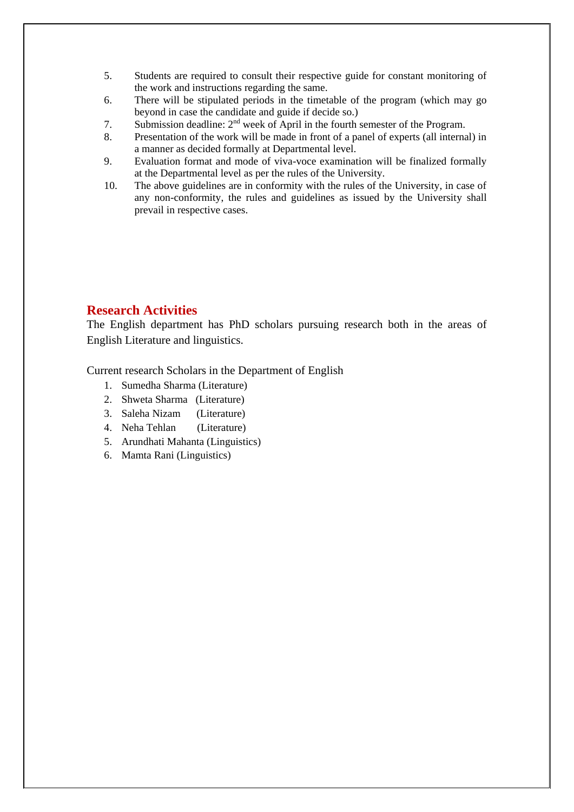- 5. Students are required to consult their respective guide for constant monitoring of the work and instructions regarding the same.
- 6. There will be stipulated periods in the timetable of the program (which may go beyond in case the candidate and guide if decide so.)
- 7. Submission deadline:  $2<sup>nd</sup>$  week of April in the fourth semester of the Program.
- 8. Presentation of the work will be made in front of a panel of experts (all internal) in a manner as decided formally at Departmental level.
- 9. Evaluation format and mode of viva-voce examination will be finalized formally at the Departmental level as per the rules of the University.
- 10. The above guidelines are in conformity with the rules of the University, in case of any non-conformity, the rules and guidelines as issued by the University shall prevail in respective cases.

# **Research Activities**

The English department has PhD scholars pursuing research both in the areas of English Literature and linguistics.

Current research Scholars in the Department of English

- 1. Sumedha Sharma (Literature)
- 2. Shweta Sharma (Literature)
- 3. Saleha Nizam (Literature)
- 4. Neha Tehlan (Literature)
- 5. Arundhati Mahanta (Linguistics)
- 6. Mamta Rani (Linguistics)